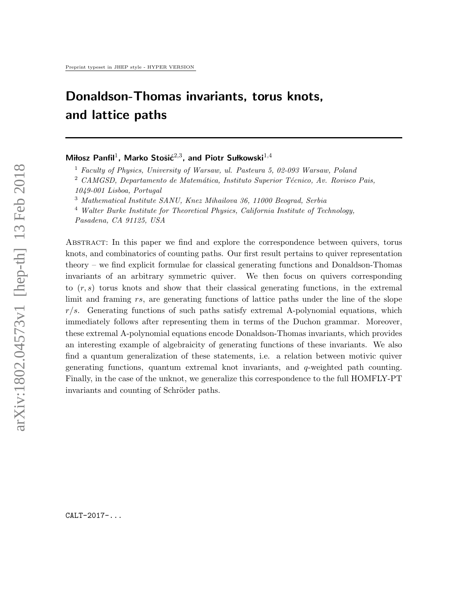# Donaldson-Thomas invariants, torus knots, and lattice paths

# Miłosz Panfil<sup>1</sup>, Marko Stošić<sup>2,3</sup>, and Piotr Sułkowski<sup>1,4</sup>

<sup>1</sup> Faculty of Physics, University of Warsaw, ul. Pasteura 5, 02-093 Warsaw, Poland

<sup>3</sup> Mathematical Institute SANU, Knez Mihailova 36, 11000 Beograd, Serbia

 $4$  Walter Burke Institute for Theoretical Physics, California Institute of Technology,

Pasadena, CA 91125, USA

Abstract: In this paper we find and explore the correspondence between quivers, torus knots, and combinatorics of counting paths. Our first result pertains to quiver representation theory – we find explicit formulae for classical generating functions and Donaldson-Thomas invariants of an arbitrary symmetric quiver. We then focus on quivers corresponding to  $(r, s)$  torus knots and show that their classical generating functions, in the extremal limit and framing rs, are generating functions of lattice paths under the line of the slope  $r/s$ . Generating functions of such paths satisfy extremal A-polynomial equations, which immediately follows after representing them in terms of the Duchon grammar. Moreover, these extremal A-polynomial equations encode Donaldson-Thomas invariants, which provides an interesting example of algebraicity of generating functions of these invariants. We also find a quantum generalization of these statements, i.e. a relation between motivic quiver generating functions, quantum extremal knot invariants, and q-weighted path counting. Finally, in the case of the unknot, we generalize this correspondence to the full HOMFLY-PT invariants and counting of Schröder paths.

CALT-2017-...

<sup>&</sup>lt;sup>2</sup> CAMGSD, Departamento de Matemática, Instituto Superior Técnico, Av. Rovisco Pais,

<sup>1049-001</sup> Lisboa, Portugal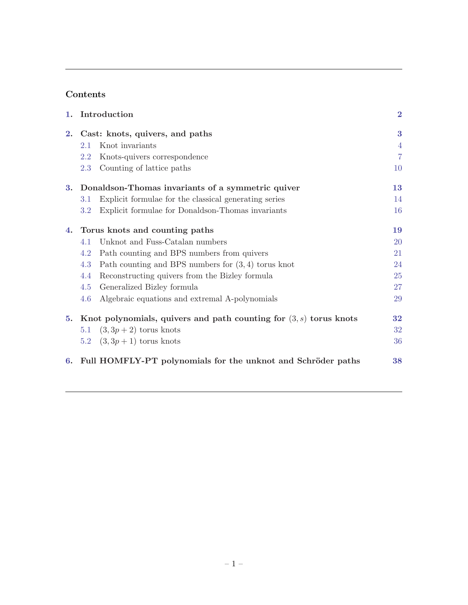# Contents

| 1. |                                                                      | Introduction                                                 | $\bf{2}$       |
|----|----------------------------------------------------------------------|--------------------------------------------------------------|----------------|
| 2. | Cast: knots, quivers, and paths                                      |                                                              | 3              |
|    | 2.1                                                                  | Knot invariants                                              | $\overline{4}$ |
|    | 2.2                                                                  | Knots-quivers correspondence                                 | $\overline{7}$ |
|    | 2.3                                                                  | Counting of lattice paths                                    | 10             |
|    | 3. Donaldson-Thomas invariants of a symmetric quiver                 |                                                              | 13             |
|    | 3.1                                                                  | Explicit formulae for the classical generating series        | 14             |
|    | 3.2                                                                  | Explicit formulae for Donaldson-Thomas invariants            | 16             |
| 4. | Torus knots and counting paths                                       |                                                              | 19             |
|    | 4.1                                                                  | Unknot and Fuss-Catalan numbers                              | <b>20</b>      |
|    | 4.2                                                                  | Path counting and BPS numbers from quivers                   | 21             |
|    | 4.3                                                                  | Path counting and BPS numbers for $(3,4)$ torus knot         | 24             |
|    | 4.4                                                                  | Reconstructing quivers from the Bizley formula               | 25             |
|    | 4.5                                                                  | Generalized Bizley formula                                   | 27             |
|    | 4.6                                                                  | Algebraic equations and extremal A-polynomials               | 29             |
| 5. | Knot polynomials, quivers and path counting for $(3, s)$ torus knots |                                                              | 32             |
|    | 5.1                                                                  | $(3,3p+2)$ torus knots                                       | 32             |
|    |                                                                      | 5.2 $(3, 3p + 1)$ torus knots                                | 36             |
| 6. |                                                                      | Full HOMFLY-PT polynomials for the unknot and Schröder paths | 38             |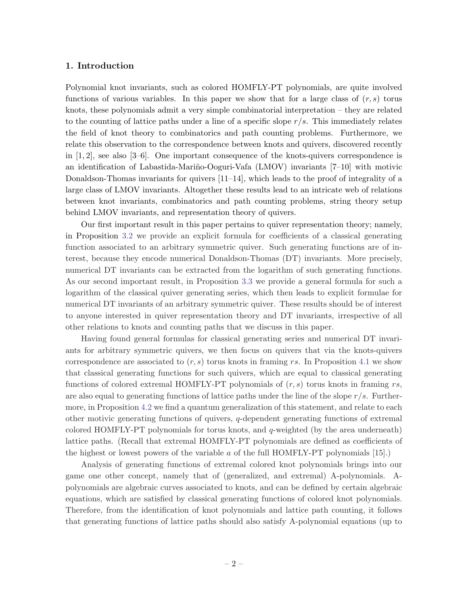#### <span id="page-2-0"></span>1. Introduction

Polynomial knot invariants, such as colored HOMFLY-PT polynomials, are quite involved functions of various variables. In this paper we show that for a large class of  $(r, s)$  torus knots, these polynomials admit a very simple combinatorial interpretation – they are related to the counting of lattice paths under a line of a specific slope  $r/s$ . This immediately relates the field of knot theory to combinatorics and path counting problems. Furthermore, we relate this observation to the correspondence between knots and quivers, discovered recently in  $[1, 2]$ , see also  $[3-6]$ . One important consequence of the knots-quivers correspondence is an identification of Labastida-Mariño-Ooguri-Vafa (LMOV) invariants  $[7-10]$  with motivic Donaldson-Thomas invariants for quivers [11–14], which leads to the proof of integrality of a large class of LMOV invariants. Altogether these results lead to an intricate web of relations between knot invariants, combinatorics and path counting problems, string theory setup behind LMOV invariants, and representation theory of quivers.

Our first important result in this paper pertains to quiver representation theory; namely, in Proposition [3.2](#page-14-0) we provide an explicit formula for coefficients of a classical generating function associated to an arbitrary symmetric quiver. Such generating functions are of interest, because they encode numerical Donaldson-Thomas (DT) invariants. More precisely, numerical DT invariants can be extracted from the logarithm of such generating functions. As our second important result, in Proposition [3.3](#page-16-0) we provide a general formula for such a logarithm of the classical quiver generating series, which then leads to explicit formulae for numerical DT invariants of an arbitrary symmetric quiver. These results should be of interest to anyone interested in quiver representation theory and DT invariants, irrespective of all other relations to knots and counting paths that we discuss in this paper.

Having found general formulas for classical generating series and numerical DT invariants for arbitrary symmetric quivers, we then focus on quivers that via the knots-quivers correspondence are associated to  $(r, s)$  torus knots in framing rs. In Proposition [4.1](#page-19-0) we show that classical generating functions for such quivers, which are equal to classical generating functions of colored extremal HOMFLY-PT polynomials of  $(r, s)$  torus knots in framing rs, are also equal to generating functions of lattice paths under the line of the slope  $r/s$ . Furthermore, in Proposition [4.2](#page-20-0) we find a quantum generalization of this statement, and relate to each other motivic generating functions of quivers, q-dependent generating functions of extremal colored HOMFLY-PT polynomials for torus knots, and  $q$ -weighted (by the area underneath) lattice paths. (Recall that extremal HOMFLY-PT polynomials are defined as coefficients of the highest or lowest powers of the variable  $a$  of the full HOMFLY-PT polynomials  $[15]$ .)

Analysis of generating functions of extremal colored knot polynomials brings into our game one other concept, namely that of (generalized, and extremal) A-polynomials. Apolynomials are algebraic curves associated to knots, and can be defined by certain algebraic equations, which are satisfied by classical generating functions of colored knot polynomials. Therefore, from the identification of knot polynomials and lattice path counting, it follows that generating functions of lattice paths should also satisfy A-polynomial equations (up to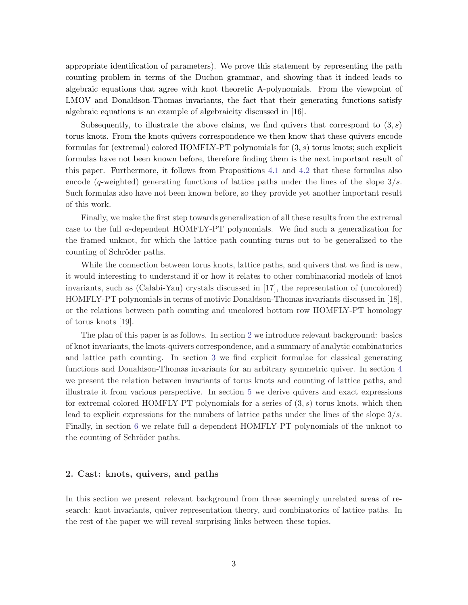<span id="page-3-0"></span>appropriate identification of parameters). We prove this statement by representing the path counting problem in terms of the Duchon grammar, and showing that it indeed leads to algebraic equations that agree with knot theoretic A-polynomials. From the viewpoint of LMOV and Donaldson-Thomas invariants, the fact that their generating functions satisfy algebraic equations is an example of algebraicity discussed in [16].

Subsequently, to illustrate the above claims, we find quivers that correspond to  $(3, s)$ torus knots. From the knots-quivers correspondence we then know that these quivers encode formulas for (extremal) colored HOMFLY-PT polynomials for  $(3, s)$  torus knots; such explicit formulas have not been known before, therefore finding them is the next important result of this paper. Furthermore, it follows from Propositions [4.1](#page-19-0) and [4.2](#page-20-0) that these formulas also encode (q-weighted) generating functions of lattice paths under the lines of the slope  $3/s$ . Such formulas also have not been known before, so they provide yet another important result of this work.

Finally, we make the first step towards generalization of all these results from the extremal case to the full a-dependent HOMFLY-PT polynomials. We find such a generalization for the framed unknot, for which the lattice path counting turns out to be generalized to the counting of Schröder paths.

While the connection between torus knots, lattice paths, and quivers that we find is new, it would interesting to understand if or how it relates to other combinatorial models of knot invariants, such as (Calabi-Yau) crystals discussed in [17], the representation of (uncolored) HOMFLY-PT polynomials in terms of motivic Donaldson-Thomas invariants discussed in [18], or the relations between path counting and uncolored bottom row HOMFLY-PT homology of torus knots [19].

The plan of this paper is as follows. In section 2 we introduce relevant background: basics of knot invariants, the knots-quivers correspondence, and a summary of analytic combinatorics and lattice path counting. In section [3](#page-13-0) we find explicit formulae for classical generating functions and Donaldson-Thomas invariants for an arbitrary symmetric quiver. In section [4](#page-19-0) we present the relation between invariants of torus knots and counting of lattice paths, and illustrate it from various perspective. In section [5](#page-32-0) we derive quivers and exact expressions for extremal colored HOMFLY-PT polynomials for a series of  $(3, s)$  torus knots, which then lead to explicit expressions for the numbers of lattice paths under the lines of the slope  $3/s$ . Finally, in section [6](#page-38-0) we relate full a-dependent HOMFLY-PT polynomials of the unknot to the counting of Schröder paths.

# 2. Cast: knots, quivers, and paths

In this section we present relevant background from three seemingly unrelated areas of research: knot invariants, quiver representation theory, and combinatorics of lattice paths. In the rest of the paper we will reveal surprising links between these topics.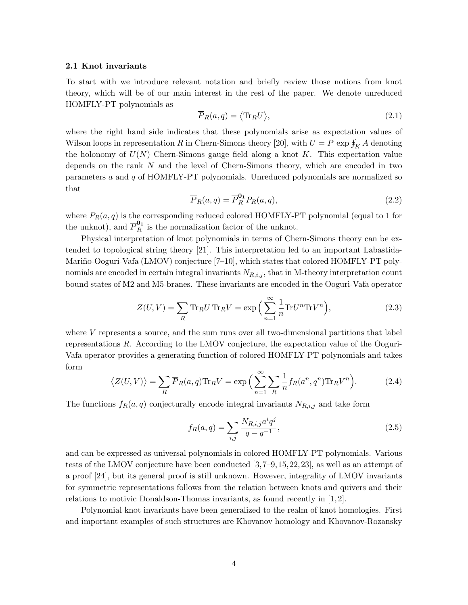#### <span id="page-4-0"></span>2.1 Knot invariants

To start with we introduce relevant notation and briefly review those notions from knot theory, which will be of our main interest in the rest of the paper. We denote unreduced HOMFLY-PT polynomials as

$$
\overline{P}_R(a,q) = \langle \text{Tr}_R U \rangle,\tag{2.1}
$$

where the right hand side indicates that these polynomials arise as expectation values of Wilson loops in representation R in Chern-Simons theory [20], with  $U = P \exp \oint_K A$  denoting the holonomy of  $U(N)$  Chern-Simons gauge field along a knot K. This expectation value depends on the rank N and the level of Chern-Simons theory, which are encoded in two parameters a and q of HOMFLY-PT polynomials. Unreduced polynomials are normalized so that

$$
\overline{P}_R(a,q) = \overline{P}_R^{\mathbf{0}_1} P_R(a,q),\tag{2.2}
$$

where  $P_R(a,q)$  is the corresponding reduced colored HOMFLY-PT polynomial (equal to 1 for the unknot), and  $\overline{P}_R^{0_1}$  is the normalization factor of the unknot.

Physical interpretation of knot polynomials in terms of Chern-Simons theory can be extended to topological string theory [21]. This interpretation led to an important Labastida-Mariño-Ooguri-Vafa (LMOV) conjecture [7–10], which states that colored HOMFLY-PT polynomials are encoded in certain integral invariants  $N_{R,i,j}$ , that in M-theory interpretation count bound states of M2 and M5-branes. These invariants are encoded in the Ooguri-Vafa operator

$$
Z(U,V) = \sum_{R} \text{Tr}_{R} U \text{Tr}_{R} V = \exp\left(\sum_{n=1}^{\infty} \frac{1}{n} \text{Tr} U^{n} \text{Tr} V^{n}\right),\tag{2.3}
$$

where  $V$  represents a source, and the sum runs over all two-dimensional partitions that label representations R. According to the LMOV conjecture, the expectation value of the Ooguri-Vafa operator provides a generating function of colored HOMFLY-PT polynomials and takes form

$$
\langle Z(U,V)\rangle = \sum_{R} \overline{P}_{R}(a,q) \text{Tr}_{R}V = \exp\Big(\sum_{n=1}^{\infty} \sum_{R} \frac{1}{n} f_{R}(a^{n},q^{n}) \text{Tr}_{R}V^{n}\Big). \tag{2.4}
$$

The functions  $f_R(a, q)$  conjecturally encode integral invariants  $N_{R,i,j}$  and take form

$$
f_R(a,q) = \sum_{i,j} \frac{N_{R,i,j} a^i q^j}{q - q^{-1}},
$$
\n(2.5)

and can be expressed as universal polynomials in colored HOMFLY-PT polynomials. Various tests of the LMOV conjecture have been conducted [3,7–9,15,22,23], as well as an attempt of a proof [24], but its general proof is still unknown. However, integrality of LMOV invariants for symmetric representations follows from the relation between knots and quivers and their relations to motivic Donaldson-Thomas invariants, as found recently in [1, 2].

Polynomial knot invariants have been generalized to the realm of knot homologies. First and important examples of such structures are Khovanov homology and Khovanov-Rozansky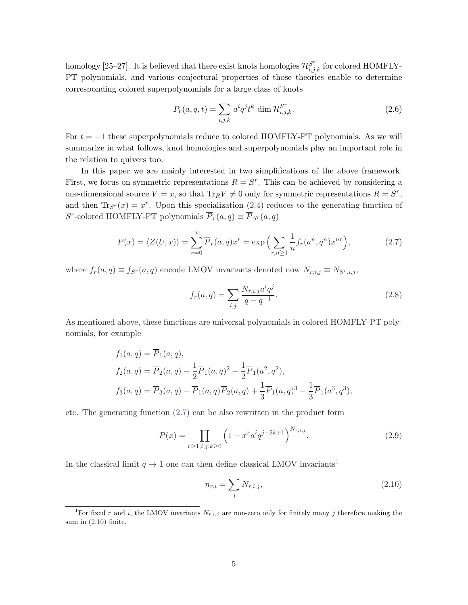<span id="page-5-0"></span>homology [25–27]. It is believed that there exist knots homologies  $\mathcal{H}_{i,j,k}^{S^r}$  for colored HOMFLY-PT polynomials, and various conjectural properties of those theories enable to determine corresponding colored superpolynomials for a large class of knots

$$
P_r(a,q,t) = \sum_{i,j,k} a^i q^j t^k \dim \mathcal{H}_{i,j,k}^{S^r}.
$$
\n(2.6)

For  $t = -1$  these superpolynomials reduce to colored HOMFLY-PT polynomials. As we will summarize in what follows, knot homologies and superpolynomials play an important role in the relation to quivers too.

In this paper we are mainly interested in two simplifications of the above framework. First, we focus on symmetric representations  $R = S<sup>r</sup>$ . This can be achieved by considering a one-dimensional source  $V = x$ , so that  $\text{Tr}_R V \neq 0$  only for symmetric representations  $R = S^r$ , and then  $\text{Tr}_{S_r}(x) = x^r$ . Upon this specialization ([2.4\)](#page-4-0) reduces to the generating function of S<sup>r</sup>-colored HOMFLY-PT polynomials  $\overline{P}_r(a,q) \equiv \overline{P}_{S^r}(a,q)$ 

$$
P(x) = \langle Z(U, x) \rangle = \sum_{r=0}^{\infty} \overline{P}_r(a, q) x^r = \exp\left(\sum_{r,n \ge 1} \frac{1}{n} f_r(a^n, q^n) x^{nr}\right),\tag{2.7}
$$

where  $f_r(a,q) \equiv f_{S^r}(a,q)$  encode LMOV invariants denoted now  $N_{r,i,j} \equiv N_{S^r,i,j}$ ,

$$
f_r(a,q) = \sum_{i,j} \frac{N_{r,i,j} a^i q^j}{q - q^{-1}}.
$$
\n(2.8)

As mentioned above, these functions are universal polynomials in colored HOMFLY-PT polynomials, for example

$$
f_1(a,q) = P_1(a,q),
$$
  
\n
$$
f_2(a,q) = \overline{P}_2(a,q) - \frac{1}{2}\overline{P}_1(a,q)^2 - \frac{1}{2}\overline{P}_1(a^2,q^2),
$$
  
\n
$$
f_3(a,q) = \overline{P}_3(a,q) - \overline{P}_1(a,q)\overline{P}_2(a,q) + \frac{1}{3}\overline{P}_1(a,q)^3 - \frac{1}{3}\overline{P}_1(a^3,q^3),
$$

etc. The generating function (2.7) can be also rewritten in the product form

$$
P(x) = \prod_{r \ge 1; i, j, k \ge 0} \left( 1 - x^r a^i q^{j+2k+1} \right)^{N_{r,i,j}}.
$$
 (2.9)

In the classical limit  $q \to 1$  one can then define classical LMOV invariants<sup>1</sup>

$$
n_{r,i} = \sum_{j} N_{r,i,j},
$$
\n(2.10)

<sup>&</sup>lt;sup>1</sup>For fixed r and i, the LMOV invariants  $N_{r,i,j}$  are non-zero only for finitely many j therefore making the sum in  $(2.10)$  finite.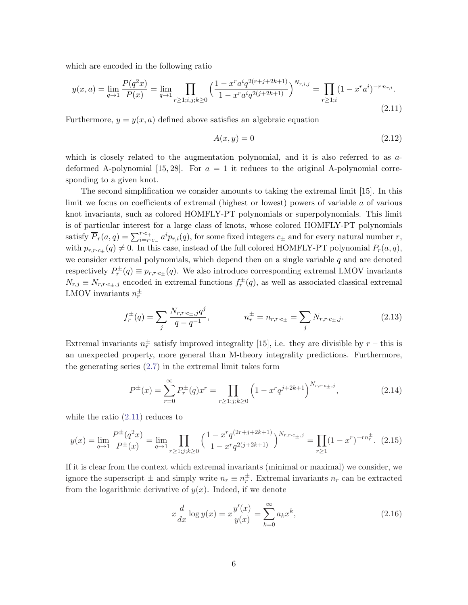<span id="page-6-0"></span>which are encoded in the following ratio

$$
y(x,a) = \lim_{q \to 1} \frac{P(q^2x)}{P(x)} = \lim_{q \to 1} \prod_{r \ge 1; i,j,k \ge 0} \left(\frac{1 - x^r a^i q^{2(r+j+2k+1)}}{1 - x^r a^i q^{2(j+2k+1)}}\right)^{N_{r,i,j}} = \prod_{r \ge 1; i} (1 - x^r a^i)^{-r \, n_{r,i}}.\tag{2.11}
$$

Furthermore,  $y = y(x, a)$  defined above satisfies an algebraic equation

$$
A(x, y) = 0 \tag{2.12}
$$

which is closely related to the augmentation polynomial, and it is also referred to as adeformed A-polynomial [15, 28]. For  $a = 1$  it reduces to the original A-polynomial corresponding to a given knot.

The second simplification we consider amounts to taking the extremal limit [15]. In this limit we focus on coefficients of extremal (highest or lowest) powers of variable a of various knot invariants, such as colored HOMFLY-PT polynomials or superpolynomials. This limit is of particular interest for a large class of knots, whose colored HOMFLY-PT polynomials satisfy  $\overline{P}_r(a,q) = \sum_{i=r.c-}^{r.c+} a^i p_{r,i}(q)$ , for some fixed integers  $c_{\pm}$  and for every natural number r, with  $p_{r,r,c+}(q) \neq 0$ . In this case, instead of the full colored HOMFLY-PT polynomial  $P_r(a,q)$ , we consider extremal polynomials, which depend then on a single variable  $q$  and are denoted respectively  $P_r^{\pm}(q) \equiv p_{r,r\cdot c_{\pm}}(q)$ . We also introduce corresponding extremal LMOV invariants  $N_{r,j} \equiv N_{r,r\cdot c_{\pm},j}$  encoded in extremal functions  $f_r^{\pm}(q)$ , as well as associated classical extremal LMOV invariants  $n_r^{\pm}$ 

$$
f_r^{\pm}(q) = \sum_j \frac{N_{r,r \cdot c_{\pm,j}q^j}}{q - q^{-1}}, \qquad n_r^{\pm} = n_{r,r \cdot c_{\pm}} = \sum_j N_{r,r \cdot c_{\pm,j}}.
$$
 (2.13)

Extremal invariants  $n_r^{\pm}$  satisfy improved integrality [15], i.e. they are divisible by  $r$  – this is an unexpected property, more general than M-theory integrality predictions. Furthermore, the generating series [\(2.7](#page-5-0)) in the extremal limit takes form

$$
P^{\pm}(x) = \sum_{r=0}^{\infty} P_r^{\pm}(q)x^r = \prod_{r \ge 1; j; k \ge 0} \left(1 - x^r q^{j+2k+1}\right)^{N_{r,r \cdot c_{\pm},j}},\tag{2.14}
$$

while the ratio (2.11) reduces to

$$
y(x) = \lim_{q \to 1} \frac{P^{\pm}(q^2 x)}{P^{\pm}(x)} = \lim_{q \to 1} \prod_{r \ge 1; j; k \ge 0} \left( \frac{1 - x^r q^{(2r + j + 2k + 1)}}{1 - x^r q^{2(j + 2k + 1)}} \right)^{N_{r, r \cdot c_{\pm}, j}} = \prod_{r \ge 1} (1 - x^r)^{-rn_r^{\pm}}.
$$
 (2.15)

If it is clear from the context which extremal invariants (minimal or maximal) we consider, we ignore the superscript  $\pm$  and simply write  $n_r \equiv n_r^{\pm}$ . Extremal invariants  $n_r$  can be extracted from the logarithmic derivative of  $y(x)$ . Indeed, if we denote

$$
x\frac{d}{dx}\log y(x) = x\frac{y'(x)}{y(x)} = \sum_{k=0}^{\infty} a_k x^k,
$$
\n(2.16)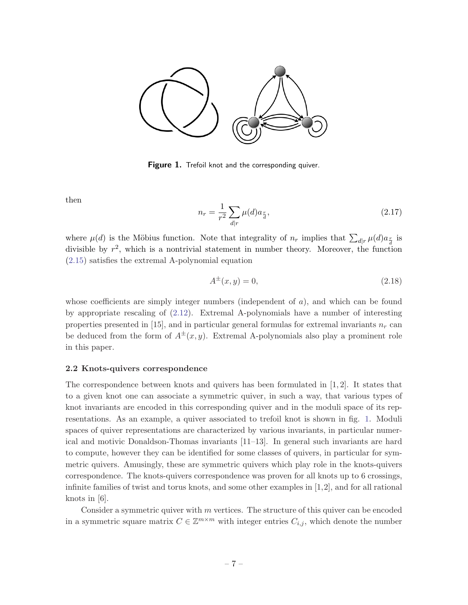<span id="page-7-0"></span>

**Figure 1.** Trefoil knot and the corresponding quiver.

then

$$
n_r = \frac{1}{r^2} \sum_{d|r} \mu(d) a_{\frac{r}{d}},
$$
\n(2.17)

where  $\mu(d)$  is the Möbius function. Note that integrality of  $n_r$  implies that  $\sum_{d|r} \mu(d) a_{\frac{r}{d}}$  is divisible by  $r^2$ , which is a nontrivial statement in number theory. Moreover, the function ([2.15](#page-6-0)) satisfies the extremal A-polynomial equation

$$
A^{\pm}(x, y) = 0,\t(2.18)
$$

whose coefficients are simply integer numbers (independent of  $a$ ), and which can be found by appropriate rescaling of [\(2.12\)](#page-6-0). Extremal A-polynomials have a number of interesting properties presented in [15], and in particular general formulas for extremal invariants  $n_r$  can be deduced from the form of  $A^{\pm}(x, y)$ . Extremal A-polynomials also play a prominent role in this paper.

#### 2.2 Knots-quivers correspondence

The correspondence between knots and quivers has been formulated in [1, 2]. It states that to a given knot one can associate a symmetric quiver, in such a way, that various types of knot invariants are encoded in this corresponding quiver and in the moduli space of its representations. As an example, a quiver associated to trefoil knot is shown in fig. 1. Moduli spaces of quiver representations are characterized by various invariants, in particular numerical and motivic Donaldson-Thomas invariants [11–13]. In general such invariants are hard to compute, however they can be identified for some classes of quivers, in particular for symmetric quivers. Amusingly, these are symmetric quivers which play role in the knots-quivers correspondence. The knots-quivers correspondence was proven for all knots up to 6 crossings, infinite families of twist and torus knots, and some other examples in [1,2], and for all rational knots in [6].

Consider a symmetric quiver with  $m$  vertices. The structure of this quiver can be encoded in a symmetric square matrix  $C \in \mathbb{Z}^{m \times m}$  with integer entries  $C_{i,j}$ , which denote the number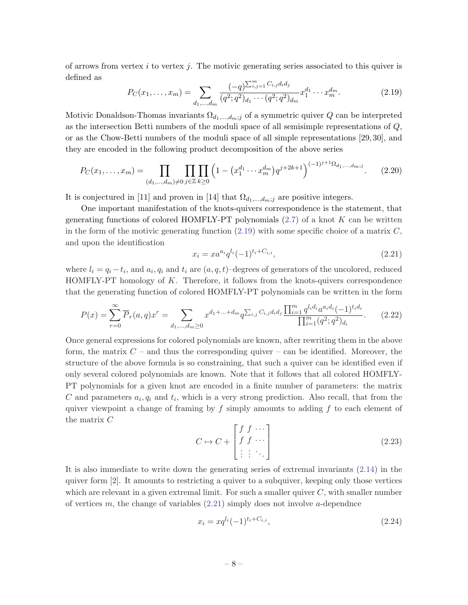<span id="page-8-0"></span>of arrows from vertex  $i$  to vertex  $j$ . The motivic generating series associated to this quiver is defined as

$$
P_C(x_1, \dots, x_m) = \sum_{d_1, \dots, d_m} \frac{(-q)^{\sum_{i,j=1}^m C_{i,j} d_i d_j}}{(q^2; q^2)_{d_1} \cdots (q^2; q^2)_{d_m}} x_1^{d_1} \cdots x_m^{d_m}.
$$
 (2.19)

Motivic Donaldson-Thomas invariants  $\Omega_{d_1,\dots,d_m;j}$  of a symmetric quiver Q can be interpreted as the intersection Betti numbers of the moduli space of all semisimple representations of Q, or as the Chow-Betti numbers of the moduli space of all simple representations [29, 30], and they are encoded in the following product decomposition of the above series

$$
P_C(x_1, \dots, x_m) = \prod_{(d_1, \dots, d_m) \neq 0} \prod_{j \in \mathbb{Z}} \prod_{k \geq 0} \left( 1 - \left( x_1^{d_1} \cdots x_m^{d_m} \right) q^{j+2k+1} \right)^{(-1)^{j+1} \Omega_{d_1, \dots, d_m; j}}.
$$
 (2.20)

It is conjectured in [11] and proven in [14] that  $\Omega_{d_1,\dots,d_m;j}$  are positive integers.

One important manifestation of the knots-quivers correspondence is the statement, that generating functions of colored HOMFLY-PT polynomials  $(2.7)$  $(2.7)$  of a knot K can be written in the form of the motivic generating function  $(2.19)$  with some specific choice of a matrix  $C$ , and upon the identification

$$
x_i = x a^{a_i} q^{l_i} (-1)^{t_i + C_{i,i}}, \tag{2.21}
$$

where  $l_i = q_i - t_i$ , and  $a_i, q_i$  and  $t_i$  are  $(a, q, t)$ -degrees of generators of the uncolored, reduced HOMFLY-PT homology of  $K$ . Therefore, it follows from the knots-quivers correspondence that the generating function of colored HOMFLY-PT polynomials can be written in the form

$$
P(x) = \sum_{r=0}^{\infty} \overline{P}_r(a,q)x^r = \sum_{d_1,\dots,d_m \ge 0} x^{d_1 + \dots + d_m} q^{\sum_{i,j} C_{i,j} d_i d_j} \frac{\prod_{i=1}^m q^{l_i d_i} a^{a_i d_i} (-1)^{t_i d_i}}{\prod_{i=1}^m (q^2; q^2)_{d_i}}.
$$
 (2.22)

Once general expressions for colored polynomials are known, after rewriting them in the above form, the matrix  $C$  – and thus the corresponding quiver – can be identified. Moreover, the structure of the above formula is so constraining, that such a quiver can be identified even if only several colored polynomials are known. Note that it follows that all colored HOMFLY-PT polynomials for a given knot are encoded in a finite number of parameters: the matrix C and parameters  $a_i, q_i$  and  $t_i$ , which is a very strong prediction. Also recall, that from the quiver viewpoint a change of framing by  $f$  simply amounts to adding  $f$  to each element of the matrix C

$$
C \mapsto C + \begin{bmatrix} f & f & \cdots \\ f & f & \cdots \\ \vdots & \vdots & \ddots \end{bmatrix}
$$
 (2.23)

It is also immediate to write down the generating series of extremal invariants ([2.14](#page-6-0)) in the quiver form [2]. It amounts to restricting a quiver to a subquiver, keeping only those vertices which are relevant in a given extremal limit. For such a smaller quiver  $C$ , with smaller number of vertices m, the change of variables  $(2.21)$  simply does not involve a-dependnce

$$
x_i = xq^{l_i}(-1)^{t_i + C_{i,i}},\tag{2.24}
$$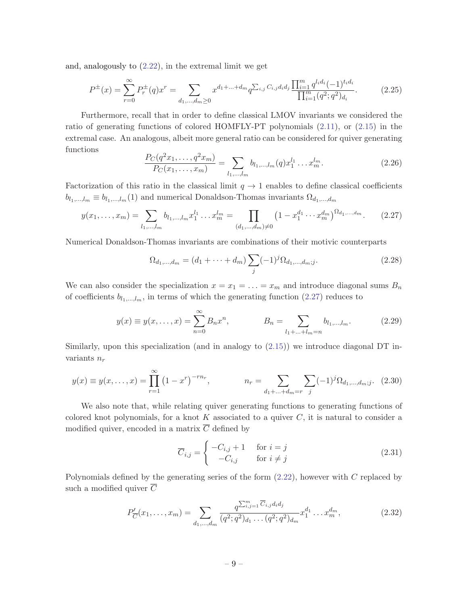<span id="page-9-0"></span>and, analogously to ([2.22](#page-8-0)), in the extremal limit we get

$$
P^{\pm}(x) = \sum_{r=0}^{\infty} P_r^{\pm}(q)x^r = \sum_{d_1,\dots,d_m \ge 0} x^{d_1 + \dots + d_m} q^{\sum_{i,j} C_{i,j} d_i d_j} \frac{\prod_{i=1}^m q^{l_i d_i} (-1)^{t_i d_i}}{\prod_{i=1}^m (q^2; q^2) d_i}.
$$
 (2.25)

Furthermore, recall that in order to define classical LMOV invariants we considered the ratio of generating functions of colored HOMFLY-PT polynomials ([2.11](#page-6-0)), or ([2.15](#page-6-0)) in the extremal case. An analogous, albeit more general ratio can be considered for quiver generating functions

$$
\frac{P_C(q^2x_1,\ldots,q^2x_m)}{P_C(x_1,\ldots,x_m)} = \sum_{l_1,\ldots,l_m} b_{l_1,\ldots,l_m}(q)x_1^{l_1}\ldots x_m^{l_m}.
$$
\n(2.26)

Factorization of this ratio in the classical limit  $q \to 1$  enables to define classical coefficients  $b_{l_1,...,l_m} \equiv b_{l_1,...,l_m}(1)$  and numerical Donaldson-Thomas invariants  $\Omega_{d_1,...,d_m}$ 

$$
y(x_1, \ldots, x_m) = \sum_{l_1, \ldots, l_m} b_{l_1, \ldots, l_m} x_1^{l_1} \ldots x_m^{l_m} = \prod_{(d_1, \ldots, d_m) \neq 0} \left(1 - x_1^{d_1} \cdots x_m^{d_m}\right)^{\Omega_{d_1, \ldots, d_m}}.
$$
 (2.27)

Numerical Donaldson-Thomas invariants are combinations of their motivic counterparts

$$
\Omega_{d_1,\dots,d_m} = (d_1 + \dots + d_m) \sum_j (-1)^j \Omega_{d_1,\dots,d_m;j}.
$$
\n(2.28)

We can also consider the specialization  $x = x_1 = \ldots = x_m$  and introduce diagonal sums  $B_n$ of coefficients  $b_{l_1,\dots,l_m}$ , in terms of which the generating function (2.27) reduces to

$$
y(x) \equiv y(x, \dots, x) = \sum_{n=0}^{\infty} B_n x^n, \qquad B_n = \sum_{l_1 + \dots + l_m = n} b_{l_1, \dots, l_m}.
$$
 (2.29)

Similarly, upon this specialization (and in analogy to [\(2.15\)](#page-6-0)) we introduce diagonal DT invariants  $n_r$ 

$$
y(x) \equiv y(x, \dots, x) = \prod_{r=1}^{\infty} (1 - x^r)^{-rn_r}, \qquad n_r = \sum_{d_1 + \dots + d_m = r} \sum_j (-1)^j \Omega_{d_1, \dots, d_m; j}.
$$
 (2.30)

We also note that, while relating quiver generating functions to generating functions of colored knot polynomials, for a knot  $K$  associated to a quiver  $C$ , it is natural to consider a modified quiver, encoded in a matrix  $\overline{C}$  defined by

$$
\overline{C}_{i,j} = \begin{cases}\n-C_{i,j} + 1 & \text{for } i = j \\
-C_{i,j} & \text{for } i \neq j\n\end{cases}
$$
\n(2.31)

Polynomials defined by the generating series of the form  $(2.22)$  $(2.22)$ , however with C replaced by such a modified quiver  $\overline{C}$ 

$$
P'_{\overline{C}}(x_1,\ldots,x_m) = \sum_{d_1,\ldots,d_m} \frac{q^{\sum_{i,j=1}^m \overline{C}_{i,j} d_i d_j}}{(q^2;q^2)_{d_1}\ldots (q^2;q^2)_{d_m}} x_1^{d_1}\ldots x_m^{d_m},\tag{2.32}
$$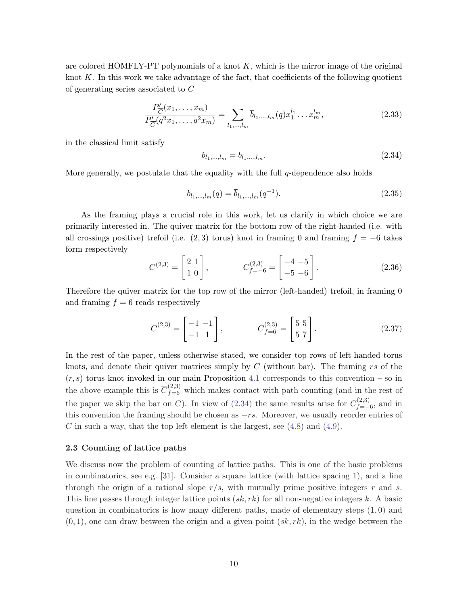<span id="page-10-0"></span>are colored HOMFLY-PT polynomials of a knot  $\overline{K}$ , which is the mirror image of the original knot  $K$ . In this work we take advantage of the fact, that coefficients of the following quotient of generating series associated to  $\overline{C}$ 

$$
\frac{P'_{\overline{C}}(x_1,\ldots,x_m)}{P'_{\overline{C}}(q^2x_1,\ldots,q^2x_m)} = \sum_{l_1,\ldots,l_m} \overline{b}_{l_1,\ldots,l_m}(q)x_1^{l_1}\ldots x_m^{l_m},
$$
\n(2.33)

in the classical limit satisfy

$$
b_{l_1,\dots,l_m} = b_{l_1,\dots,l_m}.\tag{2.34}
$$

More generally, we postulate that the equality with the full  $q$ -dependence also holds

$$
b_{l_1,\dots,l_m}(q) = \bar{b}_{l_1,\dots,l_m}(q^{-1}).
$$
\n(2.35)

As the framing plays a crucial role in this work, let us clarify in which choice we are primarily interested in. The quiver matrix for the bottom row of the right-handed (i.e. with all crossings positive) trefoil (i.e.  $(2,3)$  torus) knot in framing 0 and framing  $f = -6$  takes form respectively

$$
C^{(2,3)} = \begin{bmatrix} 2 & 1 \\ 1 & 0 \end{bmatrix}, \qquad C^{(2,3)}_{f=-6} = \begin{bmatrix} -4 & -5 \\ -5 & -6 \end{bmatrix}.
$$
 (2.36)

Therefore the quiver matrix for the top row of the mirror (left-handed) trefoil, in framing 0 and framing  $f = 6$  reads respectively

$$
\overline{C}^{(2,3)} = \begin{bmatrix} -1 & -1 \\ -1 & 1 \end{bmatrix}, \qquad \overline{C}_{f=6}^{(2,3)} = \begin{bmatrix} 5 & 5 \\ 5 & 7 \end{bmatrix}.
$$
 (2.37)

In the rest of the paper, unless otherwise stated, we consider top rows of left-handed torus knots, and denote their quiver matrices simply by  $C$  (without bar). The framing rs of the  $(r, s)$  torus knot invoked in our main Proposition [4.1](#page-19-0) corresponds to this convention – so in the above example this is  $\overline{C}_{f=6}^{(2,3)}$  which makes contact with path counting (and in the rest of the paper we skip the bar on C). In view of (2.34) the same results arise for  $C_{f}^{(2,3)}$  $f_{=-6}^{(2,5)}$ , and in this convention the framing should be chosen as  $-rs$ . Moreover, we usually reorder entries of C in such a way, that the top left element is the largest, see  $(4.8)$  $(4.8)$  and  $(4.9)$  $(4.9)$ .

#### 2.3 Counting of lattice paths

We discuss now the problem of counting of lattice paths. This is one of the basic problems in combinatorics, see e.g. [31]. Consider a square lattice (with lattice spacing 1), and a line through the origin of a rational slope  $r/s$ , with mutually prime positive integers r and s. This line passes through integer lattice points  $(sk, rk)$  for all non-negative integers k. A basic question in combinatorics is how many different paths, made of elementary steps  $(1, 0)$  and  $(0, 1)$ , one can draw between the origin and a given point  $(s\&, rk)$ , in the wedge between the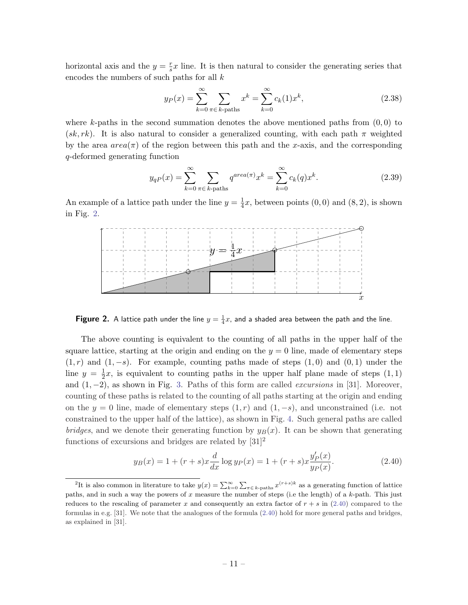<span id="page-11-0"></span>horizontal axis and the  $y = \frac{r}{s}$  $\frac{r}{s}x$  line. It is then natural to consider the generating series that encodes the numbers of such paths for all  $k$ 

$$
y_P(x) = \sum_{k=0}^{\infty} \sum_{\pi \in k \text{-paths}} x^k = \sum_{k=0}^{\infty} c_k(1) x^k,
$$
 (2.38)

where k-paths in the second summation denotes the above mentioned paths from  $(0,0)$  to  $(s, k, rk)$ . It is also natural to consider a generalized counting, with each path  $\pi$  weighted by the area  $area(\pi)$  of the region between this path and the x-axis, and the corresponding q-deformed generating function

$$
y_{qP}(x) = \sum_{k=0}^{\infty} \sum_{\pi \in k \text{-paths}} q^{area(\pi)} x^k = \sum_{k=0}^{\infty} c_k(q) x^k.
$$
 (2.39)

An example of a lattice path under the line  $y=\frac{1}{4}$  $\frac{1}{4}x$ , between points  $(0,0)$  and  $(8,2)$ , is shown in Fig. 2.



**Figure 2.** A lattice path under the line  $y = \frac{1}{4}x$ , and a shaded area between the path and the line.

The above counting is equivalent to the counting of all paths in the upper half of the square lattice, starting at the origin and ending on the  $y = 0$  line, made of elementary steps  $(1, r)$  and  $(1, -s)$ . For example, counting paths made of steps  $(1, 0)$  and  $(0, 1)$  under the line  $y = \frac{1}{2}$  $\frac{1}{2}x$ , is equivalent to counting paths in the upper half plane made of steps  $(1,1)$ and  $(1, -2)$ , as shown in Fig. [3.](#page-12-0) Paths of this form are called *excursions* in [31]. Moreover, counting of these paths is related to the counting of all paths starting at the origin and ending on the  $y = 0$  line, made of elementary steps  $(1, r)$  and  $(1, -s)$ , and unconstrained (i.e. not constrained to the upper half of the lattice), as shown in Fig. [4](#page-12-0). Such general paths are called bridges, and we denote their generating function by  $y_B(x)$ . It can be shown that generating functions of excursions and bridges are related by  $[31]^2$ 

$$
y_B(x) = 1 + (r+s)x\frac{d}{dx}\log y_P(x) = 1 + (r+s)x\frac{y'_P(x)}{y_P(x)}.
$$
\n(2.40)

<sup>&</sup>lt;sup>2</sup>It is also common in literature to take  $y(x) = \sum_{k=0}^{\infty} \sum_{\pi \in k\text{-paths}} x^{(r+s)k}$  as a generating function of lattice paths, and in such a way the powers of x measure the number of steps (i.e the length) of a k-path. This just reduces to the rescaling of parameter x and consequently an extra factor of  $r + s$  in (2.40) compared to the formulas in e.g. [31]. We note that the analogues of the formula (2.40) hold for more general paths and bridges, as explained in [31].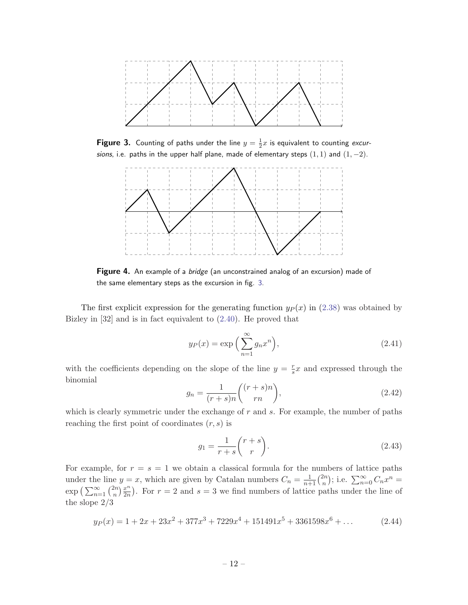<span id="page-12-0"></span>

**Figure 3.** Counting of paths under the line  $y = \frac{1}{2}x$  is equivalent to counting excursions, i.e. paths in the upper half plane, made of elementary steps  $(1, 1)$  and  $(1, -2)$ .



**Figure 4.** An example of a *bridge* (an unconstrained analog of an excursion) made of the same elementary steps as the excursion in fig. 3.

The first explicit expression for the generating function  $y_P(x)$  in ([2.38](#page-11-0)) was obtained by Bizley in [32] and is in fact equivalent to ([2.40](#page-11-0)). He proved that

$$
y_P(x) = \exp\left(\sum_{n=1}^{\infty} g_n x^n\right),\tag{2.41}
$$

with the coefficients depending on the slope of the line  $y = \frac{r}{s}$  $\frac{r}{s}x$  and expressed through the binomial

$$
g_n = \frac{1}{(r+s)n} \binom{(r+s)n}{rn},\tag{2.42}
$$

which is clearly symmetric under the exchange of  $r$  and  $s$ . For example, the number of paths reaching the first point of coordinates  $(r, s)$  is

$$
g_1 = \frac{1}{r+s} \binom{r+s}{r}.
$$
\n
$$
(2.43)
$$

For example, for  $r = s = 1$  we obtain a classical formula for the numbers of lattice paths under the line  $y = x$ , which are given by Catalan numbers  $C_n = \frac{1}{n+1} \binom{2n}{n}$  $\binom{2n}{n}$ ; i.e.  $\sum_{n=0}^{\infty} C_n x^n =$  $\exp\left(\sum_{n=1}^{\infty}\binom{2n}{n}\right)$  $\binom{2n}{n}\frac{x^n}{2n}$  $\frac{x^n}{2n}$ ). For  $r = 2$  and  $s = 3$  we find numbers of lattice paths under the line of the slope 2/3

$$
y_P(x) = 1 + 2x + 23x^2 + 377x^3 + 7229x^4 + 151491x^5 + 3361598x^6 + \dots
$$
 (2.44)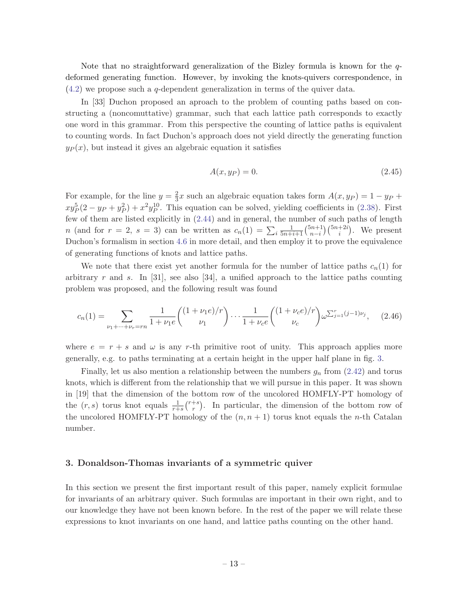<span id="page-13-0"></span>Note that no straightforward generalization of the Bizley formula is known for the qdeformed generating function. However, by invoking the knots-quivers correspondence, in ([4.2\)](#page-20-0) we propose such a q-dependent generalization in terms of the quiver data.

In [33] Duchon proposed an aproach to the problem of counting paths based on constructing a (noncomuttative) grammar, such that each lattice path corresponds to exactly one word in this grammar. From this perspective the counting of lattice paths is equivalent to counting words. In fact Duchon's approach does not yield directly the generating function  $y_P(x)$ , but instead it gives an algebraic equation it satisfies

$$
A(x, y_P) = 0.\t\t(2.45)
$$

For example, for the line  $y=\frac{2}{3}$  $\frac{2}{3}x$  such an algebraic equation takes form  $A(x, y_P) = 1 - y_P +$  $xy_P^5(2 - y_P + y_P^2) + x^2y_P^{10}$ . This equation can be solved, yielding coefficients in ([2.38\)](#page-11-0). First few of them are listed explicitly in ([2.44\)](#page-12-0) and in general, the number of such paths of length *n* (and for  $r = 2$ ,  $s = 3$ ) can be written as  $c_n(1) = \sum_i \frac{1}{5n+i+1} \binom{5n+1}{n-i}$  $_{n-i}^{(n+1)}\binom{5n+2i}{i}$ . We present Duchon's formalism in section [4.6](#page-29-0) in more detail, and then employ it to prove the equivalence of generating functions of knots and lattice paths.

We note that there exist yet another formula for the number of lattice paths  $c_n(1)$  for arbitrary r and s. In  $[31]$ , see also  $[34]$ , a unified approach to the lattice paths counting problem was proposed, and the following result was found

$$
c_n(1) = \sum_{\nu_1 + \dots + \nu_r = rn} \frac{1}{1 + \nu_1 e} \binom{(1 + \nu_1 e)/r}{\nu_1} \cdots \frac{1}{1 + \nu_c e} \binom{(1 + \nu_c e)/r}{\nu_c} \omega^{\sum_{j=1}^r (j-1)\nu_j}, \quad (2.46)
$$

where  $e = r + s$  and  $\omega$  is any r-th primitive root of unity. This approach applies more generally, e.g. to paths terminating at a certain height in the upper half plane in fig. [3](#page-12-0).

Finally, let us also mention a relationship between the numbers  $g_n$  from ([2.42](#page-12-0)) and torus knots, which is different from the relationship that we will pursue in this paper. It was shown in [19] that the dimension of the bottom row of the uncolored HOMFLY-PT homology of the  $(r, s)$  torus knot equals  $\frac{1}{r+s} {r+s \choose r}$  $\binom{+s}{r}$ . In particular, the dimension of the bottom row of the uncolored HOMFLY-PT homology of the  $(n, n + 1)$  torus knot equals the n-th Catalan number.

### 3. Donaldson-Thomas invariants of a symmetric quiver

In this section we present the first important result of this paper, namely explicit formulae for invariants of an arbitrary quiver. Such formulas are important in their own right, and to our knowledge they have not been known before. In the rest of the paper we will relate these expressions to knot invariants on one hand, and lattice paths counting on the other hand.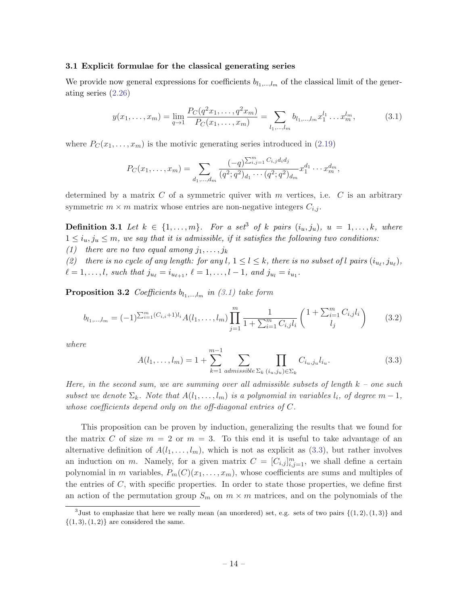#### <span id="page-14-0"></span>3.1 Explicit formulae for the classical generating series

We provide now general expressions for coefficients  $b_{l_1,\dots,l_m}$  of the classical limit of the generating series ([2.26](#page-9-0))

$$
y(x_1, \ldots, x_m) = \lim_{q \to 1} \frac{P_C(q^2 x_1, \ldots, q^2 x_m)}{P_C(x_1, \ldots, x_m)} = \sum_{l_1, \ldots, l_m} b_{l_1, \ldots, l_m} x_1^{l_1} \ldots x_m^{l_m},
$$
(3.1)

where  $P_C(x_1, \ldots, x_m)$  is the motivic generating series introduced in ([2.19](#page-8-0))

$$
P_C(x_1,\ldots,x_m)=\sum_{d_1,\ldots,d_m}\frac{(-q)^{\sum_{i,j=1}^m C_{i,j}d_id_j}}{(q^2;q^2)_{d_1}\cdots(q^2;q^2)_{d_m}}x_1^{d_1}\cdots x_m^{d_m},
$$

determined by a matrix  $C$  of a symmetric quiver with  $m$  vertices, i.e.  $C$  is an arbitrary symmetric  $m \times m$  matrix whose entries are non-negative integers  $C_{i,j}$ .

**Definition 3.1** Let  $k \in \{1, \ldots, m\}$ . For a set<sup>3</sup> of k pairs  $(i_u, j_u)$ ,  $u = 1, \ldots, k$ , where  $1 \leq i_u, j_u \leq m$ , we say that it is admissible, if it satisfies the following two conditions: (1) there are no two equal among  $j_1, \ldots, j_k$ 

(2) there is no cycle of any length: for any l,  $1 \leq l \leq k$ , there is no subset of l pairs  $(i_{u_\ell}, j_{u_\ell})$ ,  $\ell = 1, \ldots, l$ , such that  $j_{u_{\ell}} = i_{u_{\ell+1}}, \ell = 1, \ldots, l - 1$ , and  $j_{u_l} = i_{u_1}$ .

**Proposition 3.2** Coefficients  $b_{l_1,...,l_m}$  in (3.1) take form

$$
b_{l_1,\dots,l_m} = (-1)^{\sum_{i=1}^m (C_{i,i}+1)l_i} A(l_1,\dots,l_m) \prod_{j=1}^m \frac{1}{1+\sum_{i=1}^m C_{i,j}l_i} \begin{pmatrix} 1+\sum_{i=1}^m C_{i,j}l_i \\ l_j \end{pmatrix}
$$
 (3.2)

where

$$
A(l_1, ..., l_m) = 1 + \sum_{k=1}^{m-1} \sum_{admissible \ \Sigma_k} \prod_{(i_u, j_u) \in \Sigma_k} C_{i_u, j_u} l_{i_u}.
$$
 (3.3)

Here, in the second sum, we are summing over all admissible subsets of length  $k$  – one such subset we denote  $\Sigma_k$ . Note that  $A(l_1, \ldots, l_m)$  is a polynomial in variables  $l_i$ , of degree  $m-1$ , whose coefficients depend only on the off-diagonal entries of C.

This proposition can be proven by induction, generalizing the results that we found for the matrix C of size  $m = 2$  or  $m = 3$ . To this end it is useful to take advantage of an alternative definition of  $A(l_1, \ldots, l_m)$ , which is not as explicit as (3.3), but rather involves an induction on m. Namely, for a given matrix  $C = [C_{i,j}]_{i,j=1}^m$ , we shall define a certain polynomial in m variables,  $P_m(C)(x_1, \ldots, x_m)$ , whose coefficients are sums and multiples of the entries of  $C$ , with specific properties. In order to state those properties, we define first an action of the permutation group  $S_m$  on  $m \times m$  matrices, and on the polynomials of the

<sup>&</sup>lt;sup>3</sup>Just to emphasize that here we really mean (an unordered) set, e.g. sets of two pairs  $\{(1,2), (1,3)\}$  and  $\{(1,3), (1,2)\}\$ are considered the same.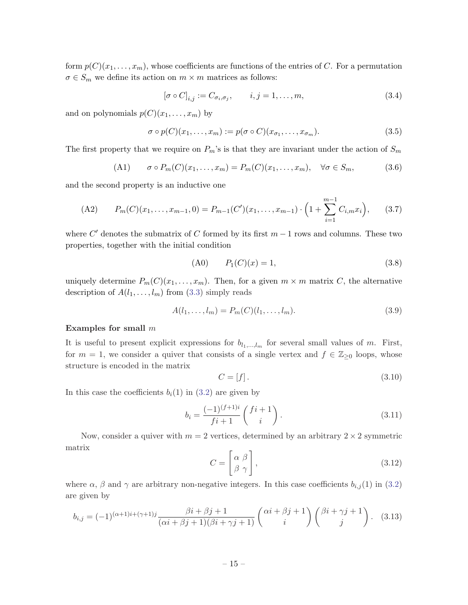<span id="page-15-0"></span>form  $p(C)(x_1, \ldots, x_m)$ , whose coefficients are functions of the entries of C. For a permutation  $\sigma \in S_m$  we define its action on  $m \times m$  matrices as follows:

$$
[\sigma \circ C]_{i,j} := C_{\sigma_i, \sigma_j}, \qquad i, j = 1, \dots, m,
$$
\n(3.4)

and on polynomials  $p(C)(x_1, \ldots, x_m)$  by

$$
\sigma \circ p(C)(x_1, \dots, x_m) := p(\sigma \circ C)(x_{\sigma_1}, \dots, x_{\sigma_m}).
$$
\n(3.5)

The first property that we require on  $P_m$ 's is that they are invariant under the action of  $S_m$ 

(A1) 
$$
\sigma \circ P_m(C)(x_1, \dots, x_m) = P_m(C)(x_1, \dots, x_m), \quad \forall \sigma \in S_m,
$$
 (3.6)

and the second property is an inductive one

(A2) 
$$
P_m(C)(x_1,\ldots,x_{m-1},0) = P_{m-1}(C')(x_1,\ldots,x_{m-1}) \cdot \left(1 + \sum_{i=1}^{m-1} C_{i,m} x_i\right), \qquad (3.7)
$$

where  $C'$  denotes the submatrix of C formed by its first  $m-1$  rows and columns. These two properties, together with the initial condition

$$
(A0) \t P1(C)(x) = 1,
$$
\t(3.8)

uniquely determine  $P_m(C)(x_1, \ldots, x_m)$ . Then, for a given  $m \times m$  matrix C, the alternative description of  $A(l_1, \ldots, l_m)$  from ([3.3\)](#page-14-0) simply reads

$$
A(l_1, ..., l_m) = P_m(C)(l_1, ..., l_m).
$$
\n(3.9)

#### Examples for small m

It is useful to present explicit expressions for  $b_{l_1,\dots,l_m}$  for several small values of m. First, for  $m = 1$ , we consider a quiver that consists of a single vertex and  $f \in \mathbb{Z}_{\geq 0}$  loops, whose structure is encoded in the matrix

$$
C = [f].\tag{3.10}
$$

In this case the coefficients  $b_i(1)$  in [\(3.2](#page-14-0)) are given by

$$
b_i = \frac{(-1)^{(f+1)i}}{fi+1} \begin{pmatrix} fi+1\\ i \end{pmatrix}.
$$
 (3.11)

Now, consider a quiver with  $m = 2$  vertices, determined by an arbitrary  $2 \times 2$  symmetric matrix

$$
C = \begin{bmatrix} \alpha & \beta \\ \beta & \gamma \end{bmatrix},\tag{3.12}
$$

where  $\alpha$ ,  $\beta$  and  $\gamma$  are arbitrary non-negative integers. In this case coefficients  $b_{i,j}(1)$  in [\(3.2](#page-14-0)) are given by

$$
b_{i,j} = (-1)^{(\alpha+1)i+(\gamma+1)j} \frac{\beta i + \beta j + 1}{(\alpha i + \beta j + 1)(\beta i + \gamma j + 1)} \begin{pmatrix} \alpha i + \beta j + 1 \\ i \end{pmatrix} \begin{pmatrix} \beta i + \gamma j + 1 \\ j \end{pmatrix}.
$$
 (3.13)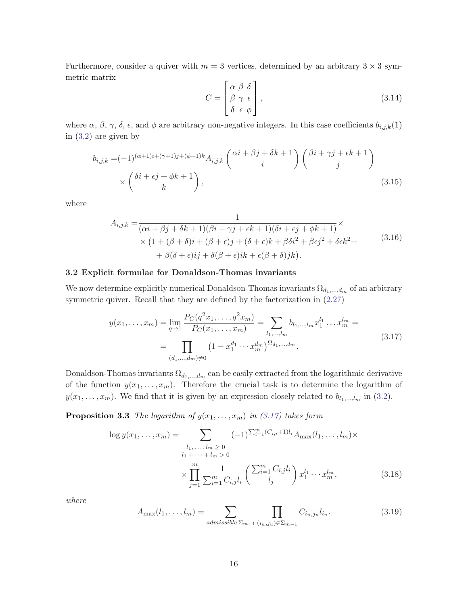<span id="page-16-0"></span>Furthermore, consider a quiver with  $m = 3$  vertices, determined by an arbitrary  $3 \times 3$  symmetric matrix  $\overline{a}$ 

$$
C = \begin{bmatrix} \alpha & \beta & \delta \\ \beta & \gamma & \epsilon \\ \delta & \epsilon & \phi \end{bmatrix},
$$
 (3.14)

where  $\alpha$ ,  $\beta$ ,  $\gamma$ ,  $\delta$ ,  $\epsilon$ , and  $\phi$  are arbitrary non-negative integers. In this case coefficients  $b_{i,j,k}(1)$ in ([3.2\)](#page-14-0) are given by

$$
b_{i,j,k} = (-1)^{(\alpha+1)i+(\gamma+1)j+(\phi+1)k} A_{i,j,k} \begin{pmatrix} \alpha i + \beta j + \delta k + 1 \\ i \end{pmatrix} \begin{pmatrix} \beta i + \gamma j + \epsilon k + 1 \\ j \end{pmatrix}
$$
  
 
$$
\times \begin{pmatrix} \delta i + \epsilon j + \phi k + 1 \\ k \end{pmatrix},
$$
 (3.15)

where

$$
A_{i,j,k} = \frac{1}{(\alpha i + \beta j + \delta k + 1)(\beta i + \gamma j + \epsilon k + 1)(\delta i + \epsilon j + \phi k + 1)} \times
$$
  
 
$$
\times (1 + (\beta + \delta)i + (\beta + \epsilon)j + (\delta + \epsilon)k + \beta \delta i^2 + \beta \epsilon j^2 + \delta \epsilon k^2 +
$$
  
 
$$
+ \beta(\delta + \epsilon)ij + \delta(\beta + \epsilon)ik + \epsilon(\beta + \delta)jk).
$$
 (3.16)

# 3.2 Explicit formulae for Donaldson-Thomas invariants

We now determine explicitly numerical Donaldson-Thomas invariants  $\Omega_{d_1,\dots,d_m}$  of an arbitrary symmetric quiver. Recall that they are defined by the factorization in  $(2.27)$  $(2.27)$ 

$$
y(x_1, \ldots, x_m) = \lim_{q \to 1} \frac{P_C(q^2 x_1, \ldots, q^2 x_m)}{P_C(x_1, \ldots, x_m)} = \sum_{l_1, \ldots, l_m} b_{l_1, \ldots, l_m} x_1^{l_1} \ldots x_m^{l_m} = \prod_{(d_1, \ldots, d_m) \neq 0} \left(1 - x_1^{d_1} \cdots x_m^{d_m}\right)^{\Omega_{d_1, \ldots, d_m}}.
$$
\n(3.17)

Donaldson-Thomas invariants  $\Omega_{d_1,\dots,d_m}$  can be easily extracted from the logarithmic derivative of the function  $y(x_1, \ldots, x_m)$ . Therefore the crucial task is to determine the logarithm of  $y(x_1, \ldots, x_m)$ . We find that it is given by an expression closely related to  $b_{l_1,\ldots,l_m}$  in [\(3.2](#page-14-0)).

**Proposition 3.3** The logarithm of  $y(x_1, \ldots, x_m)$  in (3.17) takes form

$$
\log y(x_1, \dots, x_m) = \sum_{\substack{l_1, \dots, l_m \ge 0 \\ l_1 + \dots + l_m > 0}} (-1)^{\sum_{i=1}^m (C_{i,i} + 1)l_i} A_{\max}(l_1, \dots, l_m) \times \prod_{j=1}^n \frac{1}{\sum_{i=1}^m C_{i,j}l_i} \left( \frac{\sum_{i=1}^m C_{i,j}l_i}{l_j} \right) x_1^{l_1} \cdots x_m^{l_m},
$$
\n(3.18)

where

$$
A_{\max}(l_1,\ldots,l_m) = \sum_{\text{admissible } \Sigma_{m-1}} \prod_{(i_u,j_u) \in \Sigma_{m-1}} C_{i_u,j_u} l_{i_u}.
$$
 (3.19)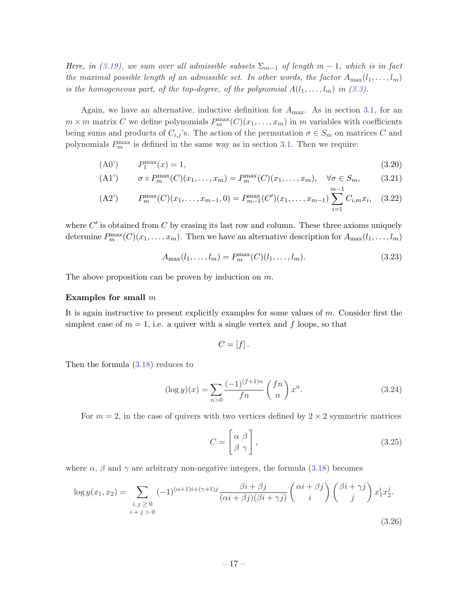<span id="page-17-0"></span>Here, in [\(3.19](#page-16-0)), we sum over all admissible subsets  $\Sigma_{m-1}$  of length  $m-1$ , which is in fact the maximal possible length of an admissible set. In other words, the factor  $A_{\text{max}}(l_1, \ldots, l_m)$ is the homogeneous part, of the top-degree, of the polynomial  $A(l_1, \ldots, l_m)$  in [\(3.3\)](#page-14-0).

Again, we have an alternative, inductive definition for  $A_{\text{max}}$ . As in section [3.1,](#page-14-0) for an  $m \times m$  matrix C we define polynomials  $P_m^{\max}(C)(x_1, \ldots, x_m)$  in m variables with coefficients being sums and products of  $C_{i,j}$ 's. The action of the permutation  $\sigma \in S_m$  on matrices C and polynomials  $P_m^{\max}$  is defined in the same way as in section [3.1.](#page-14-0) Then we require:

(A0') 
$$
P_1^{\max}(x) = 1,
$$
 (3.20)

$$
(A1') \qquad \sigma \circ P_m^{\max}(C)(x_1, \dots, x_m) = P_m^{\max}(C)(x_1, \dots, x_m), \quad \forall \sigma \in S_m,
$$
\n
$$
(3.21)
$$

(A2') 
$$
P_m^{\max}(C)(x_1,\ldots,x_{m-1},0) = P_{m-1}^{\max}(C')(x_1,\ldots,x_{m-1}) \sum_{i=1}^{m-1} C_{i,m} x_i, (3.22)
$$

where  $C'$  is obtained from  $C$  by erasing its last row and column. These three axioms uniquely determine  $P_m^{\max}(C)(x_1,\ldots,x_m)$ . Then we have an alternative description for  $A_{\max}(l_1,\ldots,l_m)$ 

$$
A_{\max}(l_1, \dots, l_m) = P_m^{\max}(C)(l_1, \dots, l_m).
$$
\n(3.23)

The above proposition can be proven by induction on  $m$ .

#### Examples for small m

It is again instructive to present explicitly examples for some values of m. Consider first the simplest case of  $m = 1$ , i.e. a quiver with a single vertex and f loops, so that

$$
C=[f].
$$

Then the formula [\(3.18\)](#page-16-0) reduces to

$$
(\log y)(x) = \sum_{n>0} \frac{(-1)^{(f+1)n}}{fn} {fn \choose n} x^n.
$$
 (3.24)

For  $m = 2$ , in the case of quivers with two vertices defined by  $2 \times 2$  symmetric matrices

$$
C = \begin{bmatrix} \alpha & \beta \\ \beta & \gamma \end{bmatrix}, \tag{3.25}
$$

where  $\alpha$ ,  $\beta$  and  $\gamma$  are arbitrary non-negative integers, the formula ([3.18](#page-16-0)) becomes

$$
\log y(x_1, x_2) = \sum_{\substack{i,j \ge 0 \\ i+j > 0}} (-1)^{(\alpha+1)i + (\gamma+1)j} \frac{\beta i + \beta j}{(\alpha i + \beta j)(\beta i + \gamma j)} \begin{pmatrix} \alpha i + \beta j \\ i \end{pmatrix} \begin{pmatrix} \beta i + \gamma j \\ j \end{pmatrix} x_1^i x_2^j.
$$
\n
$$
(3.26)
$$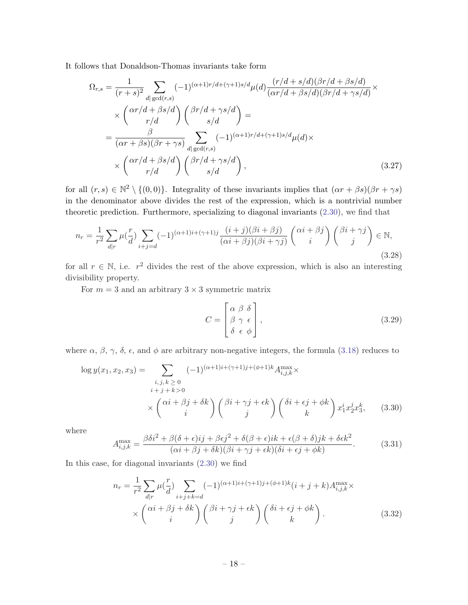<span id="page-18-0"></span>It follows that Donaldson-Thomas invariants take form

$$
\Omega_{r,s} = \frac{1}{(r+s)^2} \sum_{d|\gcd(r,s)} (-1)^{(\alpha+1)r/d+(\gamma+1)s/d} \mu(d) \frac{(r/d+s/d)(\beta r/d+\beta s/d)}{(\alpha r/d+\beta s/d)(\beta r/d+\gamma s/d)} \times
$$
  
\n
$$
\times \left(\frac{\alpha r/d+\beta s/d}{r/d}\right) \left(\frac{\beta r/d+\gamma s/d}{s/d}\right) =
$$
  
\n
$$
= \frac{\beta}{(\alpha r+\beta s)(\beta r+\gamma s)} \sum_{d|\gcd(r,s)} (-1)^{(\alpha+1)r/d+(\gamma+1)s/d} \mu(d) \times
$$
  
\n
$$
\times \left(\frac{\alpha r/d+\beta s/d}{r/d}\right) \left(\frac{\beta r/d+\gamma s/d}{s/d}\right),
$$
 (3.27)

for all  $(r, s) \in \mathbb{N}^2 \setminus \{(0, 0)\}\.$  Integrality of these invariants implies that  $(\alpha r + \beta s)(\beta r + \gamma s)$ in the denominator above divides the rest of the expression, which is a nontrivial number theoretic prediction. Furthermore, specializing to diagonal invariants [\(2.30\)](#page-9-0), we find that

$$
n_r = \frac{1}{r^2} \sum_{d|r} \mu(\frac{r}{d}) \sum_{i+j=d} (-1)^{(\alpha+1)i+(\gamma+1)j} \frac{(i+j)(\beta i+\beta j)}{(\alpha i+\beta j)(\beta i+\gamma j)} \begin{pmatrix} \alpha i+\beta j \\ i \end{pmatrix} {\beta i+\gamma j \choose j} \in \mathbb{N},\tag{3.28}
$$

for all  $r \in \mathbb{N}$ , i.e.  $r^2$  divides the rest of the above expression, which is also an interesting divisibility property.

For  $m = 3$  and an arbitrary  $3 \times 3$  symmetric matrix

$$
C = \begin{bmatrix} \alpha & \beta & \delta \\ \beta & \gamma & \epsilon \\ \delta & \epsilon & \phi \end{bmatrix},
$$
\n(3.29)

where  $\alpha$ ,  $\beta$ ,  $\gamma$ ,  $\delta$ ,  $\epsilon$ , and  $\phi$  are arbitrary non-negative integers, the formula [\(3.18\)](#page-16-0) reduces to

$$
\log y(x_1, x_2, x_3) = \sum_{\substack{i,j,k \geq 0 \\ i+j+k>0}} (-1)^{(\alpha+1)i+(\gamma+1)j+(\phi+1)k} A_{i,j,k}^{\max} \times \left(\alpha i + \beta j + \delta k\right) \left(\beta i + \gamma j + \epsilon k\right) \left(\delta i + \epsilon j + \phi k\right) x_1^i x_2^j x_3^k, \quad (3.30)
$$

where

$$
A_{i,j,k}^{\max} = \frac{\beta \delta i^2 + \beta(\delta + \epsilon)ij + \beta \epsilon j^2 + \delta(\beta + \epsilon)ik + \epsilon(\beta + \delta)jk + \delta \epsilon k^2}{(\alpha i + \beta j + \delta k)(\beta i + \gamma j + \epsilon k)(\delta i + \epsilon j + \phi k)}.
$$
(3.31)

In this case, for diagonal invariants [\(2.30\)](#page-9-0) we find

$$
n_r = \frac{1}{r^2} \sum_{d|r} \mu(\frac{r}{d}) \sum_{i+j+k=d} (-1)^{(\alpha+1)i+(\gamma+1)j+(\phi+1)k} (i+j+k) A_{i,j,k}^{\max} \times \left(\frac{\alpha i + \beta j + \delta k}{i}\right) \binom{\beta i + \gamma j + \epsilon k}{j} \binom{\delta i + \epsilon j + \phi k}{k}.
$$
 (3.32)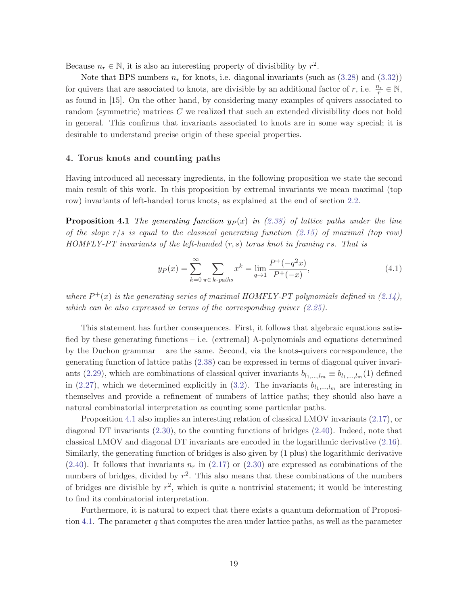<span id="page-19-0"></span>Because  $n_r \in \mathbb{N}$ , it is also an interesting property of divisibility by  $r^2$ .

Note that BPS numbers  $n_r$  for knots, i.e. diagonal invariants (such as  $(3.28)$  $(3.28)$  $(3.28)$  and  $(3.32)$ ) for quivers that are associated to knots, are divisible by an additional factor of r, i.e.  $\frac{n_r}{r} \in \mathbb{N}$ , as found in [15]. On the other hand, by considering many examples of quivers associated to random (symmetric) matrices C we realized that such an extended divisibility does not hold in general. This confirms that invariants associated to knots are in some way special; it is desirable to understand precise origin of these special properties.

## 4. Torus knots and counting paths

Having introduced all necessary ingredients, in the following proposition we state the second main result of this work. In this proposition by extremal invariants we mean maximal (top row) invariants of left-handed torus knots, as explained at the end of section [2.2.](#page-7-0)

**Proposition 4.1** The generating function  $y_P(x)$  in [\(2.38](#page-11-0)) of lattice paths under the line of the slope  $r/s$  is equal to the classical generating function ([2.15](#page-6-0)) of maximal (top row)  $HOMFLY-PT$  invariants of the left-handed  $(r, s)$  torus knot in framing rs. That is

$$
y_P(x) = \sum_{k=0}^{\infty} \sum_{\pi \in k\text{-paths}} x^k = \lim_{q \to 1} \frac{P^+(-q^2x)}{P^+(-x)},\tag{4.1}
$$

where  $P^+(x)$  is the generating series of maximal HOMFLY-PT polynomials defined in [\(2.14\)](#page-6-0), which can be also expressed in terms of the corresponding quiver ([2.25\)](#page-9-0).

This statement has further consequences. First, it follows that algebraic equations satisfied by these generating functions – i.e. (extremal) A-polynomials and equations determined by the Duchon grammar – are the same. Second, via the knots-quivers correspondence, the generating function of lattice paths [\(2.38\)](#page-11-0) can be expressed in terms of diagonal quiver invari-ants ([2.29](#page-9-0)), which are combinations of classical quiver invariants  $b_{l_1,\dots,l_m} \equiv b_{l_1,\dots,l_m}(1)$  defined in [\(2.27\)](#page-9-0), which we determined explicitly in [\(3.2](#page-14-0)). The invariants  $b_{l_1,\dots,l_m}$  are interesting in themselves and provide a refinement of numbers of lattice paths; they should also have a natural combinatorial interpretation as counting some particular paths.

Proposition 4.1 also implies an interesting relation of classical LMOV invariants ([2.17](#page-7-0)), or diagonal DT invariants ([2.30\)](#page-9-0), to the counting functions of bridges ([2.40](#page-11-0)). Indeed, note that classical LMOV and diagonal DT invariants are encoded in the logarithmic derivative ([2.16](#page-6-0)). Similarly, the generating function of bridges is also given by (1 plus) the logarithmic derivative  $(2.40)$  $(2.40)$  $(2.40)$ . It follows that invariants  $n_r$  in  $(2.17)$  or  $(2.30)$  $(2.30)$  $(2.30)$  are expressed as combinations of the numbers of bridges, divided by  $r^2$ . This also means that these combinations of the numbers of bridges are divisible by  $r^2$ , which is quite a nontrivial statement; it would be interesting to find its combinatorial interpretation.

Furthermore, it is natural to expect that there exists a quantum deformation of Proposition 4.1. The parameter q that computes the area under lattice paths, as well as the parameter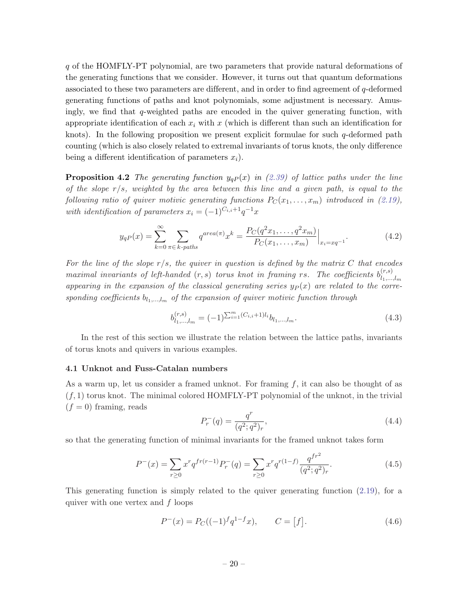<span id="page-20-0"></span>q of the HOMFLY-PT polynomial, are two parameters that provide natural deformations of the generating functions that we consider. However, it turns out that quantum deformations associated to these two parameters are different, and in order to find agreement of q-deformed generating functions of paths and knot polynomials, some adjustment is necessary. Amusingly, we find that  $q$ -weighted paths are encoded in the quiver generating function, with appropriate identification of each  $x_i$  with x (which is different than such an identification for knots). In the following proposition we present explicit formulae for such  $q$ -deformed path counting (which is also closely related to extremal invariants of torus knots, the only difference being a different identification of parameters  $x_i$ ).

**Proposition 4.2** The generating function  $y_{qP}(x)$  in [\(2.39\)](#page-11-0) of lattice paths under the line of the slope  $r/s$ , weighted by the area between this line and a given path, is equal to the following ratio of quiver motivic generating functions  $P_C(x_1, \ldots, x_m)$  introduced in [\(2.19\)](#page-8-0), with identification of parameters  $x_i = (-1)^{C_{i,i}+1}q^{-1}x$ 

$$
y_{qP}(x) = \sum_{k=0}^{\infty} \sum_{\pi \in k\text{-paths}} q^{area(\pi)} x^k = \frac{P_C(q^2 x_1, \dots, q^2 x_m)}{P_C(x_1, \dots, x_m)} \Big|_{x_i = xq^{-1}}.
$$
(4.2)

For the line of the slope  $r/s$ , the quiver in question is defined by the matrix C that encodes maximal invariants of left-handed  $(r, s)$  torus knot in framing rs. The coefficients  $b_{1}^{(r,s)}$  $l_1,...,l_m$ appearing in the expansion of the classical generating series  $y_P(x)$  are related to the corresponding coefficients  $b_{l_1,...,l_m}$  of the expansion of quiver motivic function through

$$
b_{l_1,\dots,l_m}^{(r,s)} = (-1)^{\sum_{i=1}^m (C_{i,i}+1)l_i} b_{l_1,\dots,l_m}.
$$
\n(4.3)

In the rest of this section we illustrate the relation between the lattice paths, invariants of torus knots and quivers in various examples.

#### 4.1 Unknot and Fuss-Catalan numbers

As a warm up, let us consider a framed unknot. For framing  $f$ , it can also be thought of as  $(f, 1)$  torus knot. The minimal colored HOMFLY-PT polynomial of the unknot, in the trivial  $(f = 0)$  framing, reads

$$
P_r^-(q) = \frac{q^r}{(q^2;q^2)_r},\tag{4.4}
$$

so that the generating function of minimal invariants for the framed unknot takes form

$$
P^{-}(x) = \sum_{r \ge 0} x^{r} q^{fr(r-1)} P_{r}^{-}(q) = \sum_{r \ge 0} x^{r} q^{r(1-f)} \frac{q^{fr^{2}}}{(q^{2}; q^{2})_{r}}.
$$
\n(4.5)

This generating function is simply related to the quiver generating function ([2.19\)](#page-8-0), for a quiver with one vertex and  $f$  loops

$$
P^{-}(x) = P_C((-1)^f q^{1-f} x), \qquad C = [f].
$$
\n(4.6)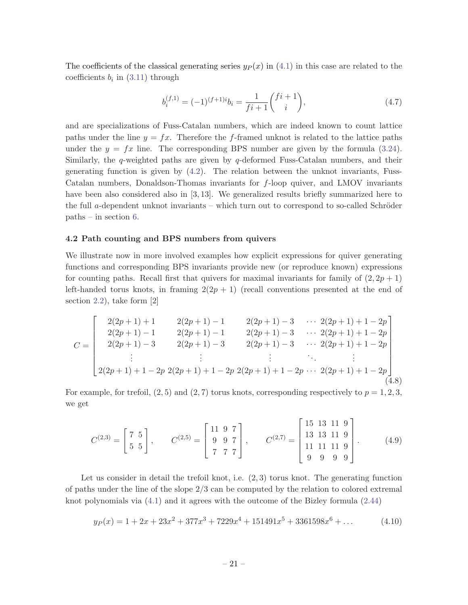<span id="page-21-0"></span>The coefficients of the classical generating series  $y_P(x)$  in [\(4.1](#page-19-0)) in this case are related to the coefficients  $b_i$  in ([3.11\)](#page-15-0) through

$$
b_i^{(f,1)} = (-1)^{(f+1)i} b_i = \frac{1}{fi+1} \binom{fi+1}{i},\tag{4.7}
$$

and are specializations of Fuss-Catalan numbers, which are indeed known to count lattice paths under the line  $y = fx$ . Therefore the f-framed unknot is related to the lattice paths under the  $y = fx$  line. The corresponding BPS number are given by the formula ([3.24](#page-17-0)). Similarly, the q-weighted paths are given by  $q$ -deformed Fuss-Catalan numbers, and their generating function is given by ([4.2](#page-20-0)). The relation between the unknot invariants, Fuss-Catalan numbers, Donaldson-Thomas invariants for f-loop quiver, and LMOV invariants have been also considered also in [3, 13]. We generalized results briefly summarized here to the full a-dependent unknot invariants – which turn out to correspond to so-called Schröder paths – in section [6](#page-38-0).

# 4.2 Path counting and BPS numbers from quivers

We illustrate now in more involved examples how explicit expressions for quiver generating functions and corresponding BPS invariants provide new (or reproduce known) expressions for counting paths. Recall first that quivers for maximal invariants for family of  $(2, 2p + 1)$ left-handed torus knots, in framing  $2(2p + 1)$  (recall conventions presented at the end of section [2.2](#page-7-0)), take form [2]

$$
C = \begin{bmatrix} 2(2p+1)+1 & 2(2p+1)-1 & 2(2p+1)-3 & \cdots & 2(2p+1)+1-2p \\ 2(2p+1)-1 & 2(2p+1)-1 & 2(2p+1)-3 & \cdots & 2(2p+1)+1-2p \\ 2(2p+1)-3 & 2(2p+1)-3 & 2(2p+1)-3 & \cdots & 2(2p+1)+1-2p \\ \vdots & \vdots & \ddots & \vdots & \ddots & \vdots \\ 2(2p+1)+1-2p & 2(2p+1)+1-2p & 2(2p+1)+1-2p & \cdots & 2(2p+1)+1-2p \end{bmatrix}
$$
(4.8)

For example, for trefoil,  $(2, 5)$  and  $(2, 7)$  torus knots, corresponding respectively to  $p = 1, 2, 3$ , we get

$$
C^{(2,3)} = \begin{bmatrix} 7 & 5 \\ 5 & 5 \end{bmatrix}, \qquad C^{(2,5)} = \begin{bmatrix} 11 & 9 & 7 \\ 9 & 9 & 7 \\ 7 & 7 & 7 \end{bmatrix}, \qquad C^{(2,7)} = \begin{bmatrix} 15 & 13 & 11 & 9 \\ 13 & 13 & 11 & 9 \\ 11 & 11 & 11 & 9 \\ 9 & 9 & 9 & 9 \end{bmatrix}.
$$
 (4.9)

Let us consider in detail the trefoil knot, i.e.  $(2, 3)$  torus knot. The generating function of paths under the line of the slope 2/3 can be computed by the relation to colored extremal knot polynomials via ([4.1\)](#page-19-0) and it agrees with the outcome of the Bizley formula ([2.44](#page-12-0))

$$
y_P(x) = 1 + 2x + 23x^2 + 377x^3 + 7229x^4 + 151491x^5 + 3361598x^6 + \dots
$$
 (4.10)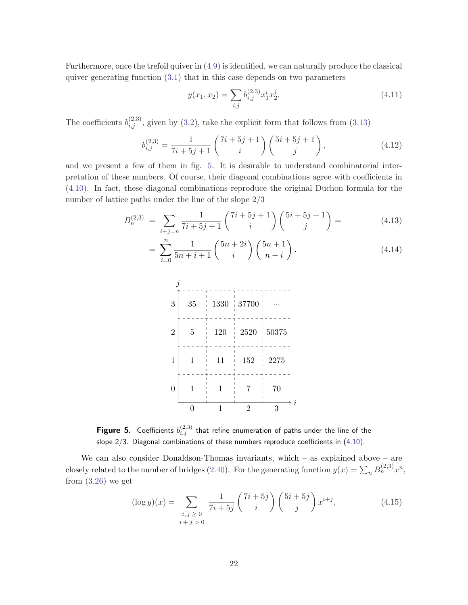<span id="page-22-0"></span>Furthermore, once the trefoil quiver in ([4.9](#page-21-0)) is identified, we can naturally produce the classical quiver generating function  $(3.1)$  $(3.1)$  $(3.1)$  that in this case depends on two parameters

$$
y(x_1, x_2) = \sum_{i,j} b_{i,j}^{(2,3)} x_1^i x_2^j.
$$
\n(4.11)

The coefficients  $b_{i,j}^{(2,3)}$ , given by [\(3.2](#page-14-0)), take the explicit form that follows from [\(3.13\)](#page-15-0)

$$
b_{i,j}^{(2,3)} = \frac{1}{7i+5j+1} \begin{pmatrix} 7i+5j+1 \\ i \end{pmatrix} \begin{pmatrix} 5i+5j+1 \\ j \end{pmatrix},
$$
(4.12)

and we present a few of them in fig. 5. It is desirable to understand combinatorial interpretation of these numbers. Of course, their diagonal combinations agree with coefficients in ([4.10](#page-21-0)). In fact, these diagonal combinations reproduce the original Duchon formula for the number of lattice paths under the line of the slope 2/3

$$
B_n^{(2,3)} = \sum_{i+j=n} \frac{1}{7i+5j+1} \binom{7i+5j+1}{i} \binom{5i+5j+1}{j} = \tag{4.13}
$$

$$
= \sum_{i=0}^{n} \frac{1}{5n+i+1} {5n+2i \choose i} {5n+1 \choose n-i}.
$$
 (4.14)



Figure 5. Coefficients  $b_{i,j}^{(2,3)}$  that refine enumeration of paths under the line of the slope 2/3. Diagonal combinations of these numbers reproduce coefficients in [\(4.10](#page-21-0)).

We can also consider Donaldson-Thomas invariants, which  $-$  as explained above  $-$  are closely related to the number of bridges ([2.40](#page-11-0)). For the generating function  $y(x) = \sum_n B_n^{(2,3)} x^n$ , from  $(3.26)$  $(3.26)$  $(3.26)$  we get

$$
(\log y)(x) = \sum_{\substack{i,j \ge 0 \\ i+j > 0}} \frac{1}{7i+5j} \binom{7i+5j}{i} \binom{5i+5j}{j} x^{i+j},\tag{4.15}
$$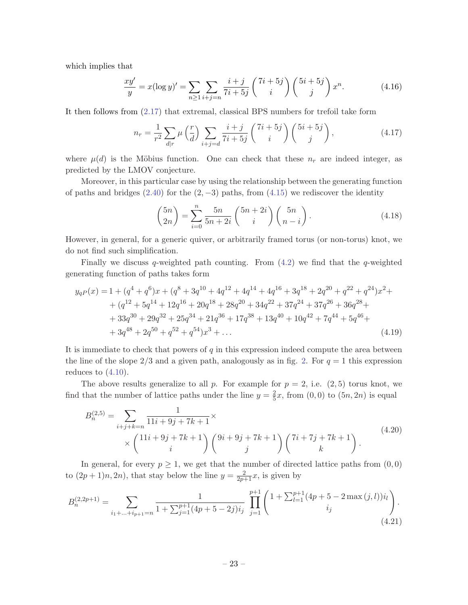<span id="page-23-0"></span>which implies that

$$
\frac{xy'}{y} = x(\log y)' = \sum_{n \ge 1} \sum_{i+j=n} \frac{i+j}{7i+5j} \binom{7i+5j}{i} \binom{5i+5j}{j} x^n.
$$
 (4.16)

It then follows from [\(2.17\)](#page-7-0) that extremal, classical BPS numbers for trefoil take form

$$
n_r = \frac{1}{r^2} \sum_{d|r} \mu\left(\frac{r}{d}\right) \sum_{i+j=d} \frac{i+j}{7i+5j} \begin{pmatrix} 7i+5j\\ i \end{pmatrix} \begin{pmatrix} 5i+5j\\ j \end{pmatrix},\tag{4.17}
$$

where  $\mu(d)$  is the Möbius function. One can check that these  $n_r$  are indeed integer, as predicted by the LMOV conjecture.

Moreover, in this particular case by using the relationship between the generating function of paths and bridges  $(2.40)$  $(2.40)$  $(2.40)$  for the  $(2, -3)$  paths, from  $(4.15)$  $(4.15)$  $(4.15)$  we rediscover the identity

$$
\binom{5n}{2n} = \sum_{i=0}^{n} \frac{5n}{5n+2i} \binom{5n+2i}{i} \binom{5n}{n-i}.
$$
\n(4.18)

However, in general, for a generic quiver, or arbitrarily framed torus (or non-torus) knot, we do not find such simplification.

Finally we discuss q-weighted path counting. From  $(4.2)$  $(4.2)$  we find that the q-weighted generating function of paths takes form

$$
y_{qP}(x) = 1 + (q^{4} + q^{6})x + (q^{8} + 3q^{10} + 4q^{12} + 4q^{14} + 4q^{16} + 3q^{18} + 2q^{20} + q^{22} + q^{24})x^{2} +
$$
  
+ 
$$
(q^{12} + 5q^{14} + 12q^{16} + 20q^{18} + 28q^{20} + 34q^{22} + 37q^{24} + 37q^{26} + 36q^{28} +
$$
  
+ 
$$
33q^{30} + 29q^{32} + 25q^{34} + 21q^{36} + 17q^{38} + 13q^{40} + 10q^{42} + 7q^{44} + 5q^{46} +
$$
  
+ 
$$
3q^{48} + 2q^{50} + q^{52} + q^{54})x^{3} + ...
$$
 (4.19)

It is immediate to check that powers of  $q$  in this expression indeed compute the area between the line of the slope  $2/3$  $2/3$  and a given path, analogously as in fig. 2. For  $q = 1$  this expression reduces to  $(4.10)$ .

The above results generalize to all p. For example for  $p = 2$ , i.e.  $(2, 5)$  torus knot, we find that the number of lattice paths under the line  $y = \frac{2}{5}$  $\frac{2}{5}x$ , from  $(0,0)$  to  $(5n, 2n)$  is equal

$$
B_n^{(2,5)} = \sum_{i+j+k=n} \frac{1}{11i+9j+7k+1} \times \times \left(\frac{11i+9j+7k+1}{i}\right) \left(\begin{matrix}9i+9j+7k+1\\j\end{matrix}\right) \left(\begin{matrix}7i+7j+7k+1\\k\end{matrix}\right).
$$
(4.20)

In general, for every  $p \geq 1$ , we get that the number of directed lattice paths from  $(0,0)$ to  $(2p+1)n, 2n$ , that stay below the line  $y = \frac{2}{2p+1}x$ , is given by

$$
B_n^{(2,2p+1)} = \sum_{i_1 + \dots + i_{p+1} = n} \frac{1}{1 + \sum_{j=1}^{p+1} (4p+5-2j)i_j} \prod_{j=1}^{p+1} \left(1 + \sum_{l=1}^{p+1} (4p+5-2\max(j,l))i_l\right).
$$
\n(4.21)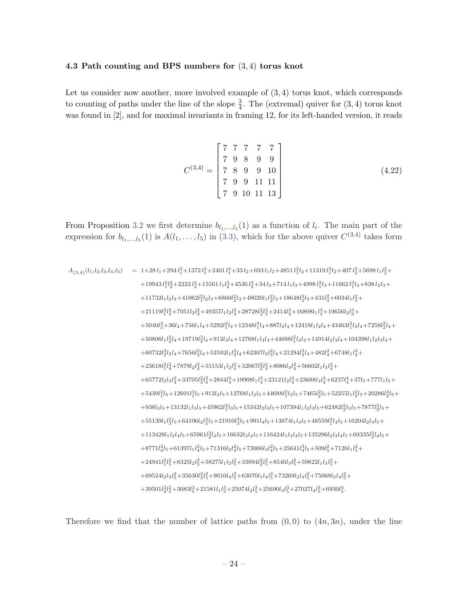#### <span id="page-24-0"></span>4.3 Path counting and BPS numbers for (3, 4) torus knot

Let us consider now another, more involved example of  $(3, 4)$  torus knot, which corresponds to counting of paths under the line of the slope  $\frac{3}{4}$ . The (extremal) quiver for  $(3, 4)$  torus knot was found in [2], and for maximal invariants in framing 12, for its left-handed version, it reads

$$
C^{(3,4)} = \begin{bmatrix} 7 & 7 & 7 & 7 & 7 \\ 7 & 9 & 8 & 9 & 9 \\ 7 & 8 & 9 & 9 & 10 \\ 7 & 9 & 9 & 11 & 11 \\ 7 & 9 & 10 & 11 & 13 \end{bmatrix}
$$
(4.22)

From Proposition [3.2](#page-14-0) we first determine  $b_{l_1,\dots,l_5}(1)$  as a function of  $l_i$ . The main part of the expression for  $b_{l_1,\ldots,l_5}(1)$  is  $A(l_1,\ldots,l_5)$  in ([3.3\)](#page-14-0), which for the above quiver  $C^{(3,4)}$  takes form

$$
A_{(3,4)}(l_1,l_2,l_3,l_4,l_5) = 1+28l_1+294l_1^2+1372l_1^3+2401l_1^4+33l_2+693l_1l_2+4851l_1^2l_2+11319l_1^3l_2+407l_2^2+5698l_1l_2^2+419943l_1^2l_2^2+2223l_2^3+15561l_1l_2^3+4536l_2^4+34l_3+714l_1l_3+4998l_1^2l_3+11662l_1^3l_3+838l_2l_3+41133l_2l_2l_3+41062l_1^2l_2l_3+6860l_2^2l_3+48020l_1l_2^2l_3+18648l_2^3l_3+431l_3^2+6034l_1l_3^2+421119l_1^2l_3^2+7051l_2l_3^2+49357l_1l_2l_3^2+28728l_2^2l_3^2+2414l_3^3+16898l_1l_3^3+19656l_2l_3^3+45040l_3^4+36l_4+756l_1l_4+5292l_1^2l_4+12348l_1^3l_4+887l_2l_4+12418l_1l_2l_4+43463l_1^2l_2l_4+7258l_2^2l_4+5600l_1l_2^2l_4+19719l_2^3l_4+912l_3l_4+12768l_1l_3l_4+44688l_1^2l_3l_4+14914l_2l_3l_4+104398l_1l_2l_3l_4+60732l_2^2l_3l_4+7656l_3^2l_4+53592l_1l_3^2l_4+62307l_2l_3^2l_4+21294l_3^3l_4+482l_4^2+6748l_1l_4^2+23618l_1^2l_4
$$

Therefore we find that the number of lattice paths from  $(0, 0)$  to  $(4n, 3n)$ , under the line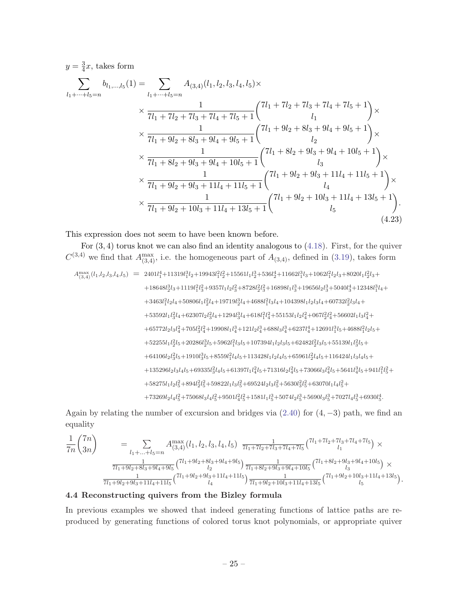<span id="page-25-0"></span>
$$
y = \frac{3}{4}x, \text{ takes form}
$$
\n
$$
\sum_{l_1 + \dots + l_5 = n} b_{l_1, \dots, l_5}(1) = \sum_{l_1 + \dots + l_5 = n} A_{(3,4)}(l_1, l_2, l_3, l_4, l_5) \times
$$
\n
$$
\times \frac{1}{7l_1 + 7l_2 + 7l_3 + 7l_4 + 7l_5 + 1} \begin{pmatrix} 7l_1 + 7l_2 + 7l_3 + 7l_4 + 7l_5 + 1 \\ l_1 \end{pmatrix} \times
$$
\n
$$
\times \frac{1}{7l_1 + 9l_2 + 8l_3 + 9l_4 + 9l_5 + 1} \begin{pmatrix} 7l_1 + 9l_2 + 8l_3 + 9l_4 + 9l_5 + 1 \\ l_2 \end{pmatrix} \times
$$
\n
$$
\times \frac{1}{7l_1 + 8l_2 + 9l_3 + 9l_4 + 10l_5 + 1} \begin{pmatrix} 7l_1 + 8l_2 + 9l_3 + 9l_4 + 10l_5 + 1 \\ l_3 \end{pmatrix} \times
$$
\n
$$
\times \frac{1}{7l_1 + 9l_2 + 9l_3 + 11l_4 + 11l_5 + 1} \begin{pmatrix} 7l_1 + 9l_2 + 9l_3 + 11l_4 + 11l_5 + 1 \\ l_4 \end{pmatrix} \times
$$
\n
$$
\times \frac{1}{7l_1 + 9l_2 + 10l_3 + 11l_4 + 13l_5 + 1} \begin{pmatrix} 7l_1 + 9l_2 + 10l_3 + 11l_4 + 13l_5 + 1 \\ l_5 \end{pmatrix}.
$$
\n(4.23)

This expression does not seem to have been known before.

For  $(3, 4)$  torus knot we can also find an identity analogous to  $(4.18)$  $(4.18)$ . First, for the quiver  $C^{(3,4)}$  we find that  $A_{(3,4)}^{\text{max}}$ , i.e. the homogeneous part of  $A_{(3,4)}$ , defined in ([3.19](#page-16-0)), takes form

$$
\begin{array}{rcl} A_{(3,4)}^{\max}(l_1,l_2,l_3,l_4,l_5) & = & 2401l_1^4+11319l_1^3l_2+19943l_1^2l_2^2+15561l_1l_2^3+536l_2^4+11662l_1^3l_3+1062l_1^2l_2l_3+8020l_1l_2^2l_3+\\ & & +18648l_2^3l_3+1119l_1^2l_3^2+9357l_1l_2l_3^2+8728l_2^2l_3^2+16898l_1l_3^3+19656l_2l_3^3+5040l_3^4+12348l_1^3l_4+\\ & & +3463l_1^2l_2l_4+50806l_1l_2^2l_4+19719l_2^3l_4+4688l_1^2l_3l_4+104398l_1l_2l_3l_4+60732l_2^2l_3l_4+\\ & & +53592l_1l_3^2l_4+62307l_2l_3^2l_4+1294l_3^3l_4+618l_1^2l_4^2+55153l_1l_2l_4^2+667l_2^2l_4^2+56602l_1l_3l_4^2+\\ & & +65772l_2l_3l_4^2+705l_3^2l_4^2+19908l_1l_4^3+121l_2l_4^3+688l_3l_4^3+6237l_4^4+12691l_1^3l_5+4688l_1^2l_2l_5+\\ & & +52255l_1l_2^2l_5+20286l_2^3l_5+5962l_1^2l_3l_5+107394l_1l_2l_3l_5+62482l_2^2l_3l_5+55139l_1l_3^2l_5+\\ & & +64106l_2l_3^2l_5+1910l_3^3l_5+8559l_1^2l_4l_5+113428l_1l_2l
$$

Again by relating the number of excursion and bridges via ([2.40](#page-11-0)) for (4, −3) path, we find an equality

$$
\frac{1}{7n} \begin{pmatrix} 7n \\ 3n \end{pmatrix} = \sum_{l_1 + ... + l_5 = n} A_{(3,4)}^{\max} (l_1, l_2, l_3, l_4, l_5) \frac{1}{7l_1 + 7l_2 + 7l_3 + 7l_4 + 7l_5} {1 \choose l_1}^{\frac{1}{7l_1 + 7l_2 + 7l_3 + 7l_4 + 7l_5}} \times
$$
  
\n
$$
\frac{1}{7l_1 + 9l_2 + 8l_3 + 9l_4 + 9l_5} {1 \choose l_2}^{\frac{1}{7l_1 + 8l_2 + 9l_3 + 9l_4 + 10l_5}} \frac{1}{7l_1 + 8l_2 + 9l_3 + 9l_4 + 10l_5} {1 \choose l_3}^{\frac{1}{7l_1 + 8l_2 + 9l_3 + 9l_4 + 10l_5}} \times
$$
  
\n
$$
\frac{1}{7l_1 + 9l_2 + 9l_3 + 11l_4 + 11l_5} {1 \choose l_4}^{\frac{1}{7l_1 + 9l_2 + 9l_3 + 11l_4 + 11l_5}} \frac{1}{7l_1 + 9l_2 + 10l_3 + 11l_4 + 13l_5} {1 \choose l_1 + 9l_2 + 10l_3 + 11l_4 + 13l_5}.
$$

# 4.4 Reconstructing quivers from the Bizley formula

In previous examples we showed that indeed generating functions of lattice paths are reproduced by generating functions of colored torus knot polynomials, or appropriate quiver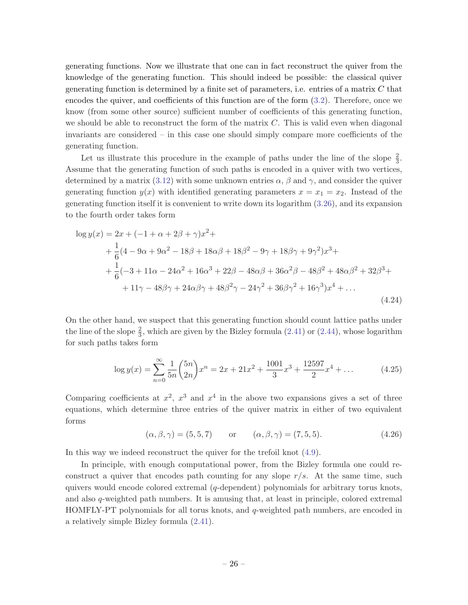generating functions. Now we illustrate that one can in fact reconstruct the quiver from the knowledge of the generating function. This should indeed be possible: the classical quiver generating function is determined by a finite set of parameters, i.e. entries of a matrix  $C$  that encodes the quiver, and coefficients of this function are of the form ([3.2\)](#page-14-0). Therefore, once we know (from some other source) sufficient number of coefficients of this generating function, we should be able to reconstruct the form of the matrix  $C$ . This is valid even when diagonal invariants are considered – in this case one should simply compare more coefficients of the generating function.

Let us illustrate this procedure in the example of paths under the line of the slope  $\frac{2}{3}$ . Assume that the generating function of such paths is encoded in a quiver with two vertices, determined by a matrix ([3.12](#page-15-0)) with some unknown entries  $\alpha$ ,  $\beta$  and  $\gamma$ , and consider the quiver generating function  $y(x)$  with identified generating parameters  $x = x_1 = x_2$ . Instead of the generating function itself it is convenient to write down its logarithm ([3.26](#page-17-0)), and its expansion to the fourth order takes form

$$
\log y(x) = 2x + (-1 + \alpha + 2\beta + \gamma)x^{2} +
$$
  
+  $\frac{1}{6}(4 - 9\alpha + 9\alpha^{2} - 18\beta + 18\alpha\beta + 18\beta^{2} - 9\gamma + 18\beta\gamma + 9\gamma^{2})x^{3} +$   
+  $\frac{1}{6}(-3 + 11\alpha - 24\alpha^{2} + 16\alpha^{3} + 22\beta - 48\alpha\beta + 36\alpha^{2}\beta - 48\beta^{2} + 48\alpha\beta^{2} + 32\beta^{3} +$   
+  $11\gamma - 48\beta\gamma + 24\alpha\beta\gamma + 48\beta^{2}\gamma - 24\gamma^{2} + 36\beta\gamma^{2} + 16\gamma^{3})x^{4} + ...$  (4.24)

On the other hand, we suspect that this generating function should count lattice paths under the line of the slope  $\frac{2}{3}$ , which are given by the Bizley formula ([2.41](#page-12-0)) or [\(2.44\)](#page-12-0), whose logarithm for such paths takes form

$$
\log y(x) = \sum_{n=0}^{\infty} \frac{1}{5n} {5n \choose 2n} x^n = 2x + 21x^2 + \frac{1001}{3}x^3 + \frac{12597}{2}x^4 + \dots
$$
 (4.25)

Comparing coefficients at  $x^2$ ,  $x^3$  and  $x^4$  in the above two expansions gives a set of three equations, which determine three entries of the quiver matrix in either of two equivalent forms

$$
(\alpha, \beta, \gamma) = (5, 5, 7)
$$
 or  $(\alpha, \beta, \gamma) = (7, 5, 5).$  (4.26)

In this way we indeed reconstruct the quiver for the trefoil knot ([4.9\)](#page-21-0).

In principle, with enough computational power, from the Bizley formula one could reconstruct a quiver that encodes path counting for any slope  $r/s$ . At the same time, such quivers would encode colored extremal  $(q$ -dependent) polynomials for arbitrary torus knots, and also q-weighted path numbers. It is amusing that, at least in principle, colored extremal HOMFLY-PT polynomials for all torus knots, and  $q$ -weighted path numbers, are encoded in a relatively simple Bizley formula ([2.41\)](#page-12-0).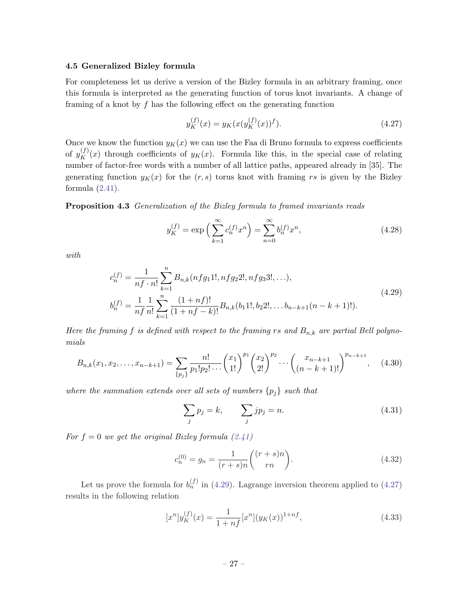#### <span id="page-27-0"></span>4.5 Generalized Bizley formula

For completeness let us derive a version of the Bizley formula in an arbitrary framing, once this formula is interpreted as the generating function of torus knot invariants. A change of framing of a knot by  $f$  has the following effect on the generating function

$$
y_K^{(f)}(x) = y_K(x(y_K^{(f)}(x))^f).
$$
\n(4.27)

Once we know the function  $y_K(x)$  we can use the Faa di Bruno formula to express coefficients of  $y_K^{(f)}(x)$  through coefficients of  $y_K(x)$ . Formula like this, in the special case of relating number of factor-free words with a number of all lattice paths, appeared already in [35]. The generating function  $y_K(x)$  for the  $(r, s)$  torus knot with framing rs is given by the Bizley formula  $(2.41)$  $(2.41)$  $(2.41)$ .

Proposition 4.3 Generalization of the Bizley formula to framed invariants reads

$$
y_K^{(f)} = \exp\left(\sum_{k=1}^{\infty} c_n^{(f)} x^n\right) = \sum_{n=0}^{\infty} b_n^{(f)} x^n,
$$
\n(4.28)

with

$$
c_n^{(f)} = \frac{1}{nf \cdot n!} \sum_{k=1}^n B_{n,k}(nfg_11!, nfg_22!, nfg_33!, \ldots),
$$
  
\n
$$
b_n^{(f)} = \frac{1}{nf} \frac{1}{n!} \sum_{k=1}^n \frac{(1 + nf)!}{(1 + nf - k)!} B_{n,k}(b_11!, b_22!, \ldots b_{n-k+1}(n - k + 1)!).
$$
\n(4.29)

Here the framing f is defined with respect to the framing rs and  $B_{n,k}$  are partial Bell polynomials

$$
B_{n,k}(x_1, x_2, \dots, x_{n-k+1}) = \sum_{\{p_j\}} \frac{n!}{p_1! p_2! \dots} {x_1 \choose 1!}^{p_1} {x_2 \choose 2!}^{p_2} \dots {x_{n-k+1} \choose (n-k+1)!}^{p_{n-k+1}}, \quad (4.30)
$$

where the summation extends over all sets of numbers  $\{p_i\}$  such that

$$
\sum_{j} p_j = k, \qquad \sum_{j} j p_j = n. \tag{4.31}
$$

For  $f = 0$  we get the original Bizley formula ([2.41](#page-12-0))

$$
c_n^{(0)} = g_n = \frac{1}{(r+s)n} \binom{(r+s)n}{rn}.
$$
\n(4.32)

Let us prove the formula for  $b_n^{(f)}$  in (4.29). Lagrange inversion theorem applied to (4.27) results in the following relation

$$
[x^n]y_K^{(f)}(x) = \frac{1}{1 + nf}[x^n](y_K(x))^{1 + nf},\tag{4.33}
$$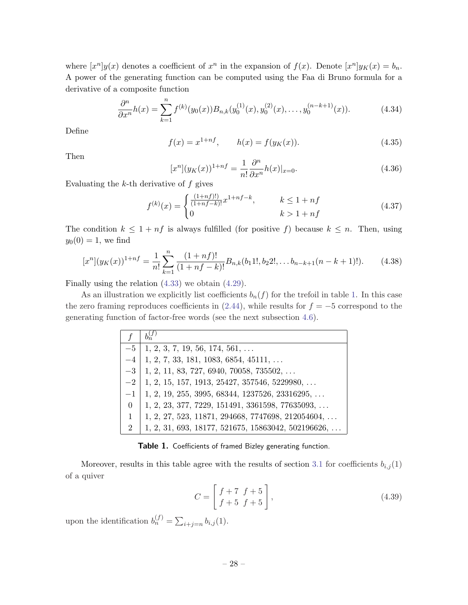where  $[x^n]y(x)$  denotes a coefficient of  $x^n$  in the expansion of  $f(x)$ . Denote  $[x^n]y_K(x) = b_n$ . A power of the generating function can be computed using the Faa di Bruno formula for a derivative of a composite function

$$
\frac{\partial^n}{\partial x^n}h(x) = \sum_{k=1}^n f^{(k)}(y_0(x))B_{n,k}(y_0^{(1)}(x), y_0^{(2)}(x), \dots, y_0^{(n-k+1)}(x)).
$$
\n(4.34)

Define

$$
f(x) = x^{1+nf}, \qquad h(x) = f(y_K(x)).
$$
\n(4.35)

Then

$$
[x^n](y_K(x))^{1+n} = \frac{1}{n!} \frac{\partial^n}{\partial x^n} h(x)|_{x=0}.
$$
\n(4.36)

Evaluating the  $k$ -th derivative of  $f$  gives

$$
f^{(k)}(x) = \begin{cases} \frac{(1+nf)!}{(1+nf-k)!} x^{1+nf-k}, & k \le 1+nf\\ 0 & k > 1+nf \end{cases}
$$
(4.37)

The condition  $k \leq 1 + nf$  is always fulfilled (for positive f) because  $k \leq n$ . Then, using  $y_0(0) = 1$ , we find

$$
[x^n](y_K(x))^{1+n} = \frac{1}{n!} \sum_{k=1}^n \frac{(1+nf)!}{(1+nf-k)!} B_{n,k}(b_1 1!, b_2 2!, \dots b_{n-k+1}(n-k+1)!). \tag{4.38}
$$

Finally using the relation [\(4.33\)](#page-27-0) we obtain ([4.29](#page-27-0)).

As an illustration we explicitly list coefficients  $b_n(f)$  for the trefoil in table 1. In this case the zero framing reproduces coefficients in  $(2.44)$ , while results for  $f = -5$  correspond to the generating function of factor-free words (see the next subsection [4.6\)](#page-29-0).

|                | $b_n^{(f)}$                                                 |
|----------------|-------------------------------------------------------------|
| $-5$           | $1, 2, 3, 7, 19, 56, 174, 561, \ldots$                      |
| $-4$           | $1, 2, 7, 33, 181, 1083, 6854, 45111, \ldots$               |
| $-3$           | $1, 2, 11, 83, 727, 6940, 70058, 735502, \ldots$            |
| $-2$           | $1, 2, 15, 157, 1913, 25427, 357546, 5229980, \ldots$       |
| $-1$           | $1, 2, 19, 255, 3995, 68344, 1237526, 23316295, \ldots$     |
| $\overline{0}$ | $1, 2, 23, 377, 7229, 151491, 3361598, 77635093, \ldots$    |
| $\mathbf{1}$   | $1, 2, 27, 523, 11871, 294668, 7747698, 212054604, \ldots$  |
| $\overline{2}$ | $1, 2, 31, 693, 18177, 521675, 15863042, 502196626, \ldots$ |

Table 1. Coefficients of framed Bizley generating function.

Moreover, results in this table agree with the results of section [3.1](#page-14-0) for coefficients  $b_{i,j}(1)$ of a quiver

$$
C = \left[ \begin{array}{cc} f+7 & f+5 \\ f+5 & f+5 \end{array} \right],
$$
\n(4.39)

upon the identification  $b_n^{(f)} = \sum_{i+j=n} b_{i,j}(1)$ .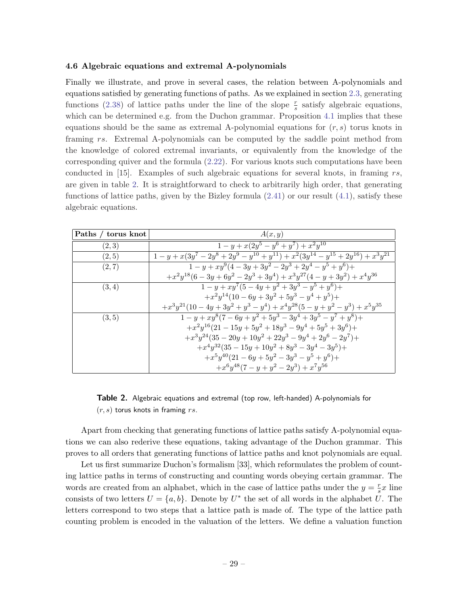#### <span id="page-29-0"></span>4.6 Algebraic equations and extremal A-polynomials

Finally we illustrate, and prove in several cases, the relation between A-polynomials and equations satisfied by generating functions of paths. As we explained in section [2.3,](#page-10-0) generating functions [\(2.38\)](#page-11-0) of lattice paths under the line of the slope  $\frac{r}{s}$  satisfy algebraic equations, which can be determined e.g. from the Duchon grammar. Proposition [4.1](#page-19-0) implies that these equations should be the same as extremal A-polynomial equations for  $(r, s)$  torus knots in framing rs. Extremal A-polynomials can be computed by the saddle point method from the knowledge of colored extremal invariants, or equivalently from the knowledge of the corresponding quiver and the formula ([2.22\)](#page-8-0). For various knots such computations have been conducted in  $[15]$ . Examples of such algebraic equations for several knots, in framing rs, are given in table 2. It is straightforward to check to arbitrarily high order, that generating functions of lattice paths, given by the Bizley formula [\(2.41\)](#page-12-0) or our result [\(4.1](#page-19-0)), satisfy these algebraic equations.

| Paths / torus knot | A(x,y)                                                                                          |
|--------------------|-------------------------------------------------------------------------------------------------|
| (2,3)              | $1 - y + x(2y^5 - y^6 + y^7) + x^2y^{10}$                                                       |
| (2, 5)             | $1 - y + x(3y^7 - 2y^8 + 2y^9 - y^{10} + y^{11}) + x^2(3y^{14} - y^{15} + 2y^{16}) + x^3y^{21}$ |
| (2, 7)             | $1 - y + xy^{9}(4-3y+3y^{2}-2y^{3}+2y^{4}-y^{5}+y^{6})+$                                        |
|                    | $+x^2y^{18}(6-3y+6y^2-2y^3+3y^4)+x^3y^{27}(4-y+3y^2)+x^4y^{36}$                                 |
| (3,4)              | $1 - y + xy^{7}(5 - 4y + y^{2} + 3y^{3} - y^{5} + y^{6}) +$                                     |
|                    | $+x^2y^{14}(10-6y+3y^2+5y^3-y^4+y^5)+$                                                          |
|                    | $+x^3y^{21}(10-4y+3y^2+y^3-y^4)+x^4y^{28}(5-y+y^2-y^3)+x^5y^{35}$                               |
| (3, 5)             | $1 - y + xy^{8}(7 - 6y + y^{2} + 5y^{3} - 3y^{4} + 3y^{5} - y^{7} + y^{8}) +$                   |
|                    | $+x^2y^{16}(21-15y+5y^2+18y^3-9y^4+5y^5+3y^6)+$                                                 |
|                    | $+x^3y^{24}(35-20y+10y^2+22y^3-9y^4+2y^6-2y^7)+$                                                |
|                    | $+x^4y^{32}(35-15y+10y^2+8y^3-3y^4-3y^5)+$                                                      |
|                    | $+x^5y^{40}(21-6y+5y^2-3y^3-y^5+y^6)+$                                                          |
|                    | $+x^6y^{48}(7-y+y^2-2y^3)+x^7y^{56}$                                                            |

Table 2. Algebraic equations and extremal (top row, left-handed) A-polynomials for  $(r, s)$  torus knots in framing rs.

Apart from checking that generating functions of lattice paths satisfy A-polynomial equations we can also rederive these equations, taking advantage of the Duchon grammar. This proves to all orders that generating functions of lattice paths and knot polynomials are equal.

Let us first summarize Duchon's formalism [33], which reformulates the problem of counting lattice paths in terms of constructing and counting words obeying certain grammar. The words are created from an alphabet, which in the case of lattice paths under the  $y = \frac{r}{s}$  $\frac{r}{s}x$  line consists of two letters  $U = \{a, b\}$ . Denote by  $U^*$  the set of all words in the alphabet U. The letters correspond to two steps that a lattice path is made of. The type of the lattice path counting problem is encoded in the valuation of the letters. We define a valuation function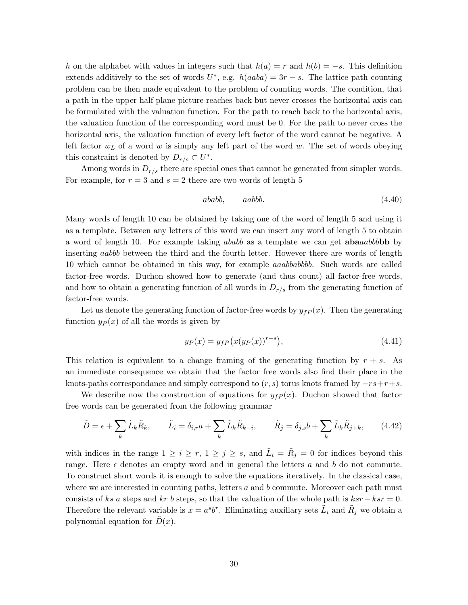h on the alphabet with values in integers such that  $h(a) = r$  and  $h(b) = -s$ . This definition extends additively to the set of words  $U^*$ , e.g.  $h(aaba) = 3r - s$ . The lattice path counting problem can be then made equivalent to the problem of counting words. The condition, that a path in the upper half plane picture reaches back but never crosses the horizontal axis can be formulated with the valuation function. For the path to reach back to the horizontal axis, the valuation function of the corresponding word must be 0. For the path to never cross the horizontal axis, the valuation function of every left factor of the word cannot be negative. A left factor  $w<sub>L</sub>$  of a word w is simply any left part of the word w. The set of words obeying this constraint is denoted by  $D_{r/s} \subset U^*$ .

Among words in  $D_{r/s}$  there are special ones that cannot be generated from simpler words. For example, for  $r = 3$  and  $s = 2$  there are two words of length 5

$$
ababb, \qquad aabbb. \tag{4.40}
$$

Many words of length 10 can be obtained by taking one of the word of length 5 and using it as a template. Between any letters of this word we can insert any word of length 5 to obtain a word of length 10. For example taking ababb as a template we can get **aba**aabbbb by inserting aabbb between the third and the fourth letter. However there are words of length 10 which cannot be obtained in this way, for example aaabbabbbb. Such words are called factor-free words. Duchon showed how to generate (and thus count) all factor-free words, and how to obtain a generating function of all words in  $D_{r/s}$  from the generating function of factor-free words.

Let us denote the generating function of factor-free words by  $y_{fP}(x)$ . Then the generating function  $y_P(x)$  of all the words is given by

$$
y_P(x) = y_{fP}(x(y_P(x))^{r+s}),
$$
\n(4.41)

This relation is equivalent to a change framing of the generating function by  $r + s$ . As an immediate consequence we obtain that the factor free words also find their place in the knots-paths correspondance and simply correspond to  $(r, s)$  torus knots framed by  $-rs+r+s$ .

We describe now the construction of equations for  $y_{fP}(x)$ . Duchon showed that factor free words can be generated from the following grammar

$$
\tilde{D} = \epsilon + \sum_{k} \tilde{L}_{k} \tilde{R}_{k}, \qquad \tilde{L}_{i} = \delta_{i,r} a + \sum_{k} \tilde{L}_{k} \tilde{R}_{k-i}, \qquad \tilde{R}_{j} = \delta_{j,s} b + \sum_{k} \tilde{L}_{k} \tilde{R}_{j+k}, \qquad (4.42)
$$

with indices in the range  $1 \geq i \geq r, 1 \geq j \geq s$ , and  $\tilde{L}_i = \tilde{R}_j = 0$  for indices beyond this range. Here  $\epsilon$  denotes an empty word and in general the letters a and b do not commute. To construct short words it is enough to solve the equations iteratively. In the classical case, where we are interested in counting paths, letters  $a$  and  $b$  commute. Moreover each path must consists of ks a steps and kr b steps, so that the valuation of the whole path is  $ksr - ksr = 0$ . Therefore the relevant variable is  $x = a^s b^r$ . Eliminating auxillary sets  $\tilde{L}_i$  and  $\tilde{R}_j$  we obtain a polynomial equation for  $\tilde{D}(x)$ .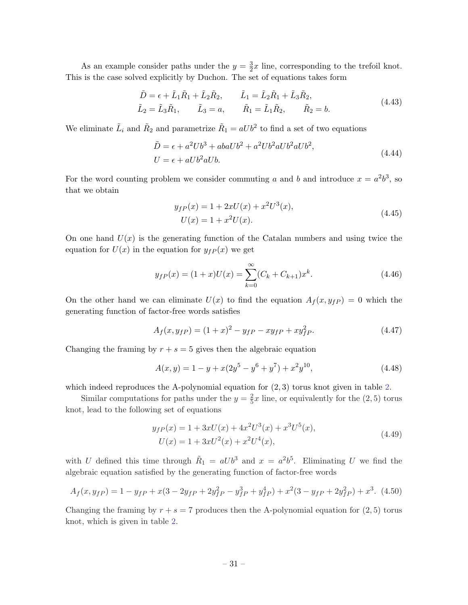As an example consider paths under the  $y=\frac{3}{2}$  $\frac{3}{2}x$  line, corresponding to the trefoil knot. This is the case solved explicitly by Duchon. The set of equations takes form

$$
\tilde{D} = \epsilon + \tilde{L}_1 \tilde{R}_1 + \tilde{L}_2 \tilde{R}_2, \qquad \tilde{L}_1 = \tilde{L}_2 \tilde{R}_1 + \tilde{L}_3 \tilde{R}_2, \n\tilde{L}_2 = \tilde{L}_3 \tilde{R}_1, \qquad \tilde{L}_3 = a, \qquad \tilde{R}_1 = \tilde{L}_1 \tilde{R}_2, \qquad \tilde{R}_2 = b.
$$
\n(4.43)

We eliminate  $\tilde{L}_i$  and  $\tilde{R}_2$  and parametrize  $\tilde{R}_1 = aUb^2$  to find a set of two equations

$$
\tilde{D} = \epsilon + a^2 Ub^3 + abaUb^2 + a^2Ub^2aUb^2ab^2,
$$
  
\n
$$
U = \epsilon + aUb^2aUb.
$$
\n(4.44)

For the word counting problem we consider commuting a and b and introduce  $x = a^2b^3$ , so that we obtain

$$
y_{fP}(x) = 1 + 2xU(x) + x^2U^3(x),
$$
  
\n
$$
U(x) = 1 + x^2U(x).
$$
\n(4.45)

On one hand  $U(x)$  is the generating function of the Catalan numbers and using twice the equation for  $U(x)$  in the equation for  $y_{fP}(x)$  we get

$$
y_{fP}(x) = (1+x)U(x) = \sum_{k=0}^{\infty} (C_k + C_{k+1})x^k.
$$
 (4.46)

On the other hand we can eliminate  $U(x)$  to find the equation  $A_f(x,y_{fP}) = 0$  which the generating function of factor-free words satisfies

$$
A_f(x, y_{fP}) = (1+x)^2 - y_{fP} - xy_{fP} + xy_{fP}^2.
$$
\n(4.47)

Changing the framing by  $r + s = 5$  gives then the algebraic equation

$$
A(x,y) = 1 - y + x(2y^5 - y^6 + y^7) + x^2y^{10},
$$
\n(4.48)

which indeed reproduces the A-polynomial equation for  $(2, 3)$  torus knot given in table [2.](#page-29-0)

Similar computations for paths under the  $y=\frac{2}{5}$  $\frac{2}{5}x$  line, or equivalently for the  $(2, 5)$  torus knot, lead to the following set of equations

$$
y_{fP}(x) = 1 + 3xU(x) + 4x^{2}U^{3}(x) + x^{3}U^{5}(x),
$$
  
\n
$$
U(x) = 1 + 3xU^{2}(x) + x^{2}U^{4}(x),
$$
\n(4.49)

with U defined this time through  $\tilde{R}_1 = aUb^3$  and  $x = a^2b^5$ . Eliminating U we find the algebraic equation satisfied by the generating function of factor-free words

$$
A_f(x, y_{fP}) = 1 - y_{fP} + x(3 - 2y_{fP} + 2y_{fP}^2 - y_{fP}^3 + y_{fP}^4) + x^2(3 - y_{fP} + 2y_{fP}^2) + x^3.
$$
 (4.50)

Changing the framing by  $r + s = 7$  produces then the A-polynomial equation for  $(2, 5)$  torus knot, which is given in table [2.](#page-29-0)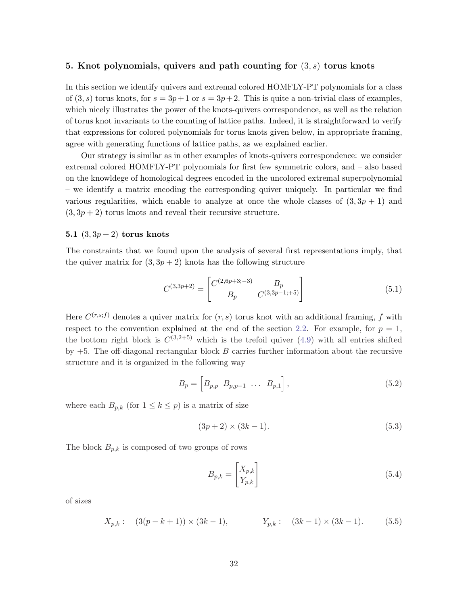#### <span id="page-32-0"></span>5. Knot polynomials, quivers and path counting for  $(3, s)$  torus knots

In this section we identify quivers and extremal colored HOMFLY-PT polynomials for a class of  $(3, s)$  torus knots, for  $s = 3p+1$  or  $s = 3p+2$ . This is quite a non-trivial class of examples, which nicely illustrates the power of the knots-quivers correspondence, as well as the relation of torus knot invariants to the counting of lattice paths. Indeed, it is straightforward to verify that expressions for colored polynomials for torus knots given below, in appropriate framing, agree with generating functions of lattice paths, as we explained earlier.

Our strategy is similar as in other examples of knots-quivers correspondence: we consider extremal colored HOMFLY-PT polynomials for first few symmetric colors, and – also based on the knowldege of homological degrees encoded in the uncolored extremal superpolynomial – we identify a matrix encoding the corresponding quiver uniquely. In particular we find various regularities, which enable to analyze at once the whole classes of  $(3, 3p + 1)$  and  $(3, 3p + 2)$  torus knots and reveal their recursive structure.

#### 5.1  $(3, 3p + 2)$  torus knots

The constraints that we found upon the analysis of several first representations imply, that the quiver matrix for  $(3, 3p + 2)$  knots has the following structure

$$
C^{(3,3p+2)} = \begin{bmatrix} C^{(2,6p+3,-3)} & B_p \\ B_p & C^{(3,3p-1,+5)} \end{bmatrix}
$$
 (5.1)

Here  $C^{(r,s;f)}$  denotes a quiver matrix for  $(r, s)$  torus knot with an additional framing, f with respect to the convention explained at the end of the section [2.2.](#page-7-0) For example, for  $p = 1$ , the bottom right block is  $C^{(3,2+5)}$  which is the trefoil quiver ([4.9\)](#page-21-0) with all entries shifted by  $+5$ . The off-diagonal rectangular block B carries further information about the recursive structure and it is organized in the following way

$$
B_p = \begin{bmatrix} B_{p,p} & B_{p,p-1} & \dots & B_{p,1} \end{bmatrix},\tag{5.2}
$$

where each  $B_{p,k}$  (for  $1 \leq k \leq p$ ) is a matrix of size

$$
(3p+2) \times (3k-1). \tag{5.3}
$$

The block  $B_{p,k}$  is composed of two groups of rows

$$
B_{p,k} = \begin{bmatrix} X_{p,k} \\ Y_{p,k} \end{bmatrix} \tag{5.4}
$$

of sizes

$$
X_{p,k}: (3(p-k+1)) \times (3k-1), \qquad Y_{p,k}: (3k-1) \times (3k-1). \qquad (5.5)
$$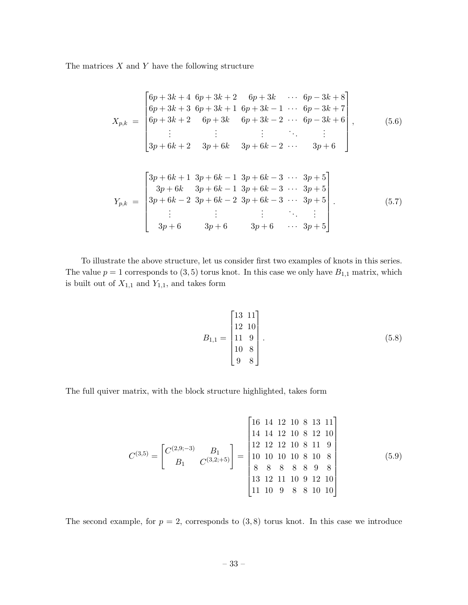The matrices  $X$  and  $Y$  have the following structure

$$
X_{p,k} = \begin{bmatrix} 6p + 3k + 4 & 6p + 3k + 2 & 6p + 3k & \cdots & 6p - 3k + 8 \\ 6p + 3k + 3 & 6p + 3k + 1 & 6p + 3k - 1 & \cdots & 6p - 3k + 7 \\ 6p + 3k + 2 & 6p + 3k & 6p + 3k - 2 & \cdots & 6p - 3k + 6 \\ \vdots & \vdots & \vdots & \ddots & \vdots \\ 3p + 6k + 2 & 3p + 6k & 3p + 6k - 2 & \cdots & 3p + 6 \end{bmatrix},
$$
(5.6)

$$
Y_{p,k} = \begin{bmatrix} 3p + 6k + 1 & 3p + 6k - 1 & 3p + 6k - 3 & \cdots & 3p + 5 \\ 3p + 6k & 3p + 6k - 1 & 3p + 6k - 3 & \cdots & 3p + 5 \\ 3p + 6k - 2 & 3p + 6k - 2 & 3p + 6k - 3 & \cdots & 3p + 5 \\ \vdots & \vdots & \vdots & \ddots & \vdots \\ 3p + 6 & 3p + 6 & 3p + 6 & \cdots & 3p + 5 \end{bmatrix} . \tag{5.7}
$$

To illustrate the above structure, let us consider first two examples of knots in this series. The value  $p = 1$  corresponds to  $(3, 5)$  torus knot. In this case we only have  $B_{1,1}$  matrix, which is built out of  $X_{1,1}$  and  $Y_{1,1},$  and takes form

$$
B_{1,1} = \begin{bmatrix} 13 & 11 \\ 12 & 10 \\ 11 & 9 \\ 10 & 8 \\ 9 & 8 \end{bmatrix} . \tag{5.8}
$$

The full quiver matrix, with the block structure highlighted, takes form

$$
C^{(3,5)} = \begin{bmatrix} C^{(2,9,-3)} & B_1 \\ B_1 & C^{(3,2;+5)} \end{bmatrix} = \begin{bmatrix} 16 & 14 & 12 & 10 & 8 & 13 & 11 \\ 14 & 14 & 12 & 10 & 8 & 12 & 10 \\ 12 & 12 & 12 & 10 & 8 & 11 & 9 \\ 10 & 10 & 10 & 10 & 8 & 10 & 8 \\ 8 & 8 & 8 & 8 & 8 & 9 & 8 \\ 13 & 12 & 11 & 10 & 9 & 12 & 10 \\ 11 & 10 & 9 & 8 & 8 & 10 & 10 \end{bmatrix}
$$
(5.9)

The second example, for  $p = 2$ , corresponds to  $(3, 8)$  torus knot. In this case we introduce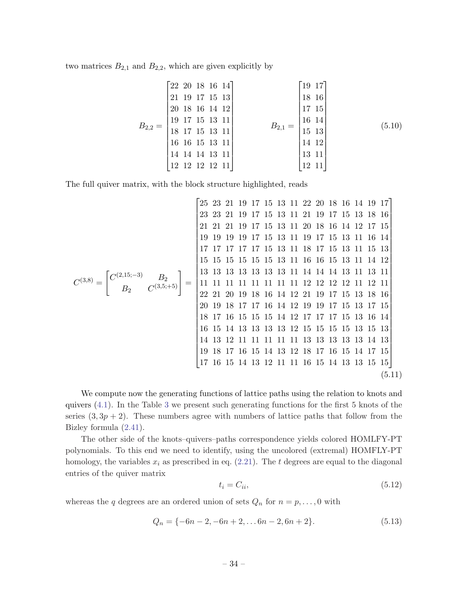<span id="page-34-0"></span>two matrices  $B_{2,1}$  and  $B_{2,2}$ , which are given explicitly by

$$
B_{2,2} = \begin{bmatrix} 22 & 20 & 18 & 16 & 14 \\ 21 & 19 & 17 & 15 & 13 \\ 20 & 18 & 16 & 14 & 12 \\ 19 & 17 & 15 & 13 & 11 \\ 18 & 17 & 15 & 13 & 11 \\ 16 & 16 & 15 & 13 & 11 \\ 14 & 14 & 13 & 11 \\ 12 & 12 & 12 & 12 & 11 \end{bmatrix} \qquad B_{2,1} = \begin{bmatrix} 19 & 17 \\ 18 & 16 \\ 17 & 15 \\ 16 & 14 \\ 15 & 13 \\ 14 & 12 \\ 13 & 11 \\ 12 & 11 \end{bmatrix} \qquad (5.10)
$$

The full quiver matrix, with the block structure highlighted, reads

$$
C^{(3,8)} = \begin{bmatrix} 25 & 23 & 21 & 19 & 17 & 15 & 13 & 11 & 22 & 20 & 18 & 16 & 14 & 19 & 17 \\ 23 & 23 & 21 & 19 & 17 & 15 & 13 & 11 & 20 & 18 & 16 & 14 & 12 & 17 & 15 \\ 21 & 21 & 21 & 19 & 17 & 15 & 13 & 11 & 19 & 17 & 15 & 13 & 11 & 16 & 14 \\ 19 & 19 & 19 & 19 & 17 & 15 & 13 & 11 & 18 & 17 & 15 & 13 & 11 & 16 & 14 \\ 17 & 17 & 17 & 17 & 17 & 15 & 13 & 11 & 16 & 16 & 15 & 13 & 11 & 14 & 12 \\ 15 & 15 & 15 & 15 & 15 & 15 & 13 & 11 & 14 & 14 & 14 & 13 & 11 & 13 & 11 \\ 22 & 21 & 20 & 19 & 18 & 16 & 14 & 12 & 21 & 19 & 17 & 15 & 13 & 18 & 16 \\ 20 & 19 & 18 & 17 & 17 & 16 & 14 & 12 & 19 & 17 & 15 & 13 & 18 & 16 \\ 16 & 15 & 14 & 13 & 13 & 13 & 13 & 13 & 12 & 15 & 15 & 15 & 13 & 17 & 15 \\ 18 & 17 & 16 & 15 & 15 & 15 & 14 & 12 & 17 & 17 & 17 & 15 & 13 & 16 & 14 \\ 16 & 15 & 14 & 13 & 13 & 13 & 13 & 12 & 15 & 15 & 15 & 15 & 13 & 13 & 14 & 13 \\ 19 & 18 & 17 & 16 & 15 & 14 & 13 & 12 & 18 & 17 & 16 & 15 & 14 & 17 & 15 \\ 17 & 16 & 15 & 14 & 13 & 12 &
$$

We compute now the generating functions of lattice paths using the relation to knots and quivers [\(4.1](#page-19-0)). In the Table [3](#page-35-0) we present such generating functions for the first 5 knots of the series  $(3, 3p + 2)$ . These numbers agree with numbers of lattice paths that follow from the Bizley formula ([2.41](#page-12-0)).

The other side of the knots–quivers–paths correspondence yields colored HOMLFY-PT polynomials. To this end we need to identify, using the uncolored (extremal) HOMFLY-PT homology, the variables  $x_i$  as prescribed in eq. ([2.21](#page-8-0)). The t degrees are equal to the diagonal entries of the quiver matrix

$$
t_i = C_{ii},\tag{5.12}
$$

whereas the q degrees are an ordered union of sets  $Q_n$  for  $n = p, \ldots, 0$  with

$$
Q_n = \{-6n - 2, -6n + 2, \dots 6n - 2, 6n + 2\}.
$$
\n(5.13)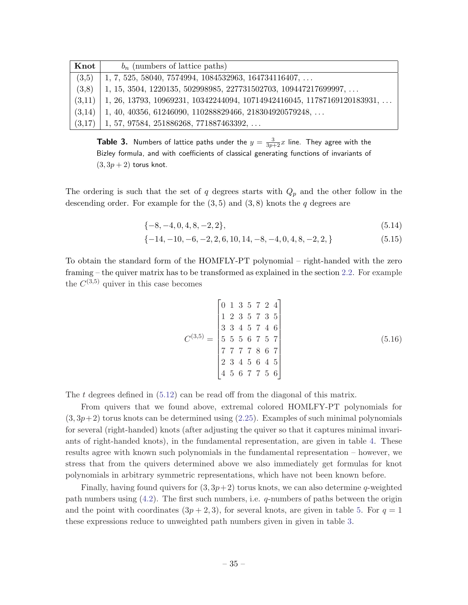<span id="page-35-0"></span>

| Knot   | $b_n$ (numbers of lattice paths)                                                 |
|--------|----------------------------------------------------------------------------------|
| (3,5)  | $1, 7, 525, 58040, 7574994, 1084532963, 164734116407, \ldots$                    |
| (3,8)  | $1, 15, 3504, 1220135, 502998985, 227731502703, 109447217699997, \ldots$         |
| (3,11) | $1, 26, 13793, 10969231, 10342244094, 10714942416045, 11787169120183931, \ldots$ |
| (3.14) | $1, 40, 40356, 61246090, 110288829466, 218304920579248, \ldots$                  |
| (3,17) | $1, 57, 97584, 251886268, 771887463392, \ldots$                                  |

**Table 3.** Numbers of lattice paths under the  $y = \frac{3}{3p+2}x$  line. They agree with the Bizley formula, and with coefficients of classical generating functions of invariants of  $(3, 3p + 2)$  torus knot.

The ordering is such that the set of q degrees starts with  $Q_p$  and the other follow in the descending order. For example for the  $(3,5)$  and  $(3,8)$  knots the q degrees are

$$
\{-8, -4, 0, 4, 8, -2, 2\},\tag{5.14}
$$

$$
\{-14, -10, -6, -2, 2, 6, 10, 14, -8, -4, 0, 4, 8, -2, 2, \}
$$
\n
$$
(5.15)
$$

To obtain the standard form of the HOMFLY-PT polynomial – right-handed with the zero framing – the quiver matrix has to be transformed as explained in the section [2.2](#page-7-0). For example the  $C^{(3,5)}$  quiver in this case becomes

$$
C^{(3,5)} = \begin{bmatrix} 0 & 1 & 3 & 5 & 7 & 2 & 4 \\ 1 & 2 & 3 & 5 & 7 & 3 & 5 \\ 3 & 3 & 4 & 5 & 7 & 4 & 6 \\ 5 & 5 & 5 & 6 & 7 & 5 & 7 \\ 7 & 7 & 7 & 7 & 8 & 6 & 7 \\ 2 & 3 & 4 & 5 & 6 & 4 & 5 \\ 4 & 5 & 6 & 7 & 7 & 5 & 6 \end{bmatrix}
$$
(5.16)

The t degrees defined in  $(5.12)$  can be read off from the diagonal of this matrix.

From quivers that we found above, extremal colored HOMLFY-PT polynomials for  $(3,3p+2)$  torus knots can be determined using  $(2.25)$  $(2.25)$  $(2.25)$ . Examples of such minimal polynomials for several (right-handed) knots (after adjusting the quiver so that it captures minimal invariants of right-handed knots), in the fundamental representation, are given in table [4](#page-36-0). These results agree with known such polynomials in the fundamental representation – however, we stress that from the quivers determined above we also immediately get formulas for knot polynomials in arbitrary symmetric representations, which have not been known before.

Finally, having found quivers for  $(3, 3p+2)$  torus knots, we can also determine q-weighted path numbers using  $(4.2)$  $(4.2)$ . The first such numbers, i.e. q-numbers of paths between the origin and the point with coordinates  $(3p + 2, 3)$ , for several knots, are given in table [5](#page-36-0). For  $q = 1$ these expressions reduce to unweighted path numbers given in given in table 3.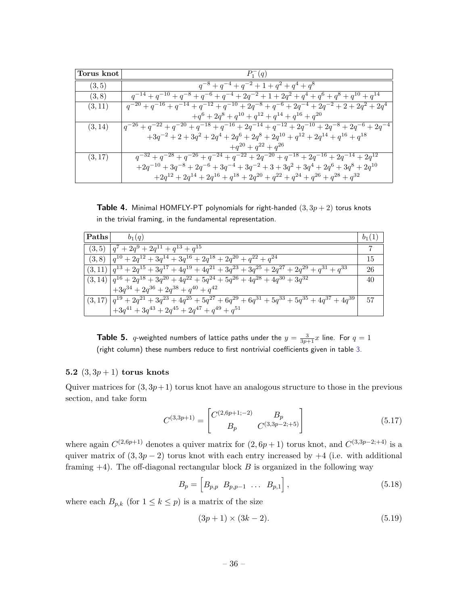<span id="page-36-0"></span>

| Torus knot | $P_1^-(q)$                                                                                                      |
|------------|-----------------------------------------------------------------------------------------------------------------|
| (3, 5)     | $q^{-8} + q^{-4} + q^{-2} + 1 + q^2 + q^4 + q^8$                                                                |
| (3, 8)     | $q^{-14} + q^{-10} + q^{-8} + q^{-6} + q^{-4} + 2q^{-2} + 1 + 2q^{2} + q^{4} + q^{6} + q^{8} + q^{10} + q^{14}$ |
| (3, 11)    | $q^{-20} + q^{-16} + q^{-14} + q^{-12} + q^{-10} + 2q^{-8} + q^{-6} + 2q^{-4} + 2q^{-2} + 2 + 2q^{2} + 2q^{4}$  |
|            | $+q^{6} + 2q^{8} + q^{10} + q^{12} + q^{14} + q^{16} + q^{20}$                                                  |
| (3, 14)    | $q^{-26} + q^{-22} + q^{-20} + q^{-18} + q^{-16} + 2q^{-14} + q^{-12} + 2q^{-10} + 2q^{-8} + 2q^{-6} + 2q^{-4}$ |
|            | $+3q^{-2} + 2 + 3q^{2} + 2q^{4} + 2q^{6} + 2q^{8} + 2q^{10} + q^{12} + 2q^{14} + q^{16} + q^{18}$               |
|            | $+q^{20} + q^{22} + q^{26}$                                                                                     |
| (3, 17)    | $q^{-32} + q^{-28} + q^{-26} + q^{-24} + q^{-22} + 2q^{-20} + q^{-18} + 2q^{-16} + 2q^{-14} + 2q^{12}$          |
|            | $+2q^{-10} + 3q^{-8} + 2q^{-6} + 3q^{-4} + 3q^{-2} + 3 + 3q^{2} + 3q^{4} + 2q^{6} + 3q^{8} + 2q^{10}$           |
|            | $+2q^{12} + 2q^{14} + 2q^{16} + q^{18} + 2q^{20} + q^{22} + q^{24} + q^{26} + q^{28} + q^{32}$                  |

**Table 4.** Minimal HOMFLY-PT polynomials for right-handed  $(3, 3p + 2)$  torus knots in the trivial framing, in the fundamental representation.

| Paths | $b_1(q)$                                                                                                                | $b_1(1)$ |
|-------|-------------------------------------------------------------------------------------------------------------------------|----------|
|       | $(3,5)$ $ q^7 + 2q^9 + 2q^{11} + q^{13} + q^{15}$                                                                       |          |
|       | $(3,8)$ $ q^{10} + 2q^{12} + 3q^{14} + 3q^{16} + 2q^{18} + 2q^{20} + q^{22} + q^{24}$                                   | 15       |
|       | $(3,11)$ $ q^{13} + 2q^{15} + 3q^{17} + 4q^{19} + 4q^{21} + 3q^{23} + 3q^{25} + 2q^{27} + 2q^{29} + q^{31} + q^{33}$    | 26       |
|       | $(3, 14)$ $ q^{16} + 2q^{18} + 3q^{20} + 4q^{22} + 5q^{24} + 5q^{26} + 4q^{28} + 4q^{30} + 3q^{32}$                     | 40       |
|       | $+3q^{34} + 2q^{36} + 2q^{38} + q^{40} + q^{42}$                                                                        |          |
|       | $(3,17)$ $ q^{19} + 2q^{21} + 3q^{23} + 4q^{25} + 5q^{27} + 6q^{29} + 6q^{31} + 5q^{33} + 5q^{35} + 4q^{37} + 4q^{39} $ | 57       |
|       | $+3q^{41} + 3q^{43} + 2q^{45} + 2q^{47} + q^{49} + q^{51}$                                                              |          |

**Table 5.** *q*-weighted numbers of lattice paths under the  $y = \frac{3}{3p+1}x$  line. For  $q = 1$ (right column) these numbers reduce to first nontrivial coefficients given in table [3](#page-35-0).

## 5.2  $(3, 3p + 1)$  torus knots

Quiver matrices for  $(3, 3p+1)$  torus knot have an analogous structure to those in the previous section, and take form

$$
C^{(3,3p+1)} = \begin{bmatrix} C^{(2,6p+1,-2)} & B_p \\ B_p & C^{(3,3p-2,+5)} \end{bmatrix}
$$
 (5.17)

where again  $C^{(2,6p+1)}$  denotes a quiver matrix for  $(2, 6p+1)$  torus knot, and  $C^{(3,3p-2;+4)}$  is a quiver matrix of  $(3, 3p - 2)$  torus knot with each entry increased by  $+4$  (i.e. with additional framing  $+4$ ). The off-diagonal rectangular block  $B$  is organized in the following way

$$
B_p = \left[ B_{p,p} \ B_{p,p-1} \ \ldots \ B_{p,1} \right],\tag{5.18}
$$

where each  $B_{p,k}$  (for  $1 \leq k \leq p$ ) is a matrix of the size

$$
(3p+1) \times (3k-2). \tag{5.19}
$$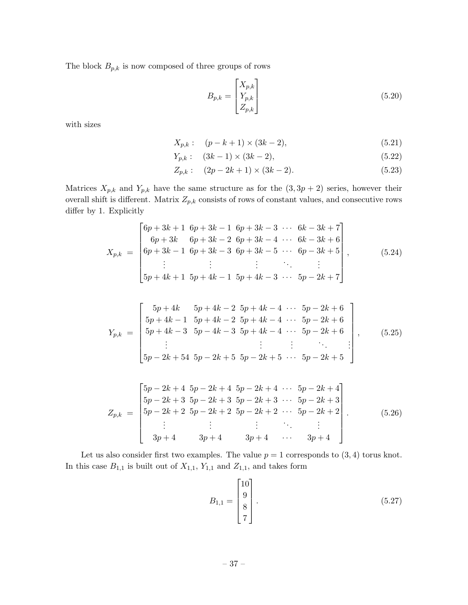The block  $B_{p,k}$  is now composed of three groups of rows

$$
B_{p,k} = \begin{bmatrix} X_{p,k} \\ Y_{p,k} \\ Z_{p,k} \end{bmatrix}
$$
 (5.20)

with sizes

$$
X_{p,k}: (p-k+1) \times (3k-2), \tag{5.21}
$$

$$
Y_{p,k}: (3k-1) \times (3k-2), \t(5.22)
$$

$$
Z_{p,k}: (2p - 2k + 1) \times (3k - 2). \tag{5.23}
$$

Matrices  $X_{p,k}$  and  $Y_{p,k}$  have the same structure as for the  $(3, 3p + 2)$  series, however their overall shift is different. Matrix  $Z_{p,k}$  consists of rows of constant values, and consecutive rows differ by 1. Explicitly

$$
X_{p,k} = \begin{bmatrix} 6p+3k+1 & 6p+3k-1 & 6p+3k-3 & \cdots & 6k-3k+7 \\ 6p+3k & 6p+3k-2 & 6p+3k-4 & \cdots & 6k-3k+6 \\ 6p+3k-1 & 6p+3k-3 & 6p+3k-5 & \cdots & 6p-3k+5 \\ \vdots & \vdots & \vdots & \ddots & \vdots \\ 5p+4k+1 & 5p+4k-1 & 5p+4k-3 & \cdots & 5p-2k+7 \end{bmatrix},
$$
(5.24)

$$
Y_{p,k} = \begin{bmatrix} 5p+4k & 5p+4k-2 & 5p+4k-4 & \cdots & 5p-2k+6 \ 5p+4k-1 & 5p+4k-2 & 5p+4k-4 & \cdots & 5p-2k+6 \ 5p+4k-3 & 5p-4k-3 & 5p+4k-4 & \cdots & 5p-2k+6 \ \vdots & \vdots & \vdots & \ddots & \vdots \ 5p-2k+54 & 5p-2k+5 & 5p-2k+5 & \cdots & 5p-2k+5 \end{bmatrix},
$$
(5.25)

$$
Z_{p,k} = \begin{bmatrix} 5p - 2k + 4 & 5p - 2k + 4 & 5p - 2k + 4 & \cdots & 5p - 2k + 4 \\ 5p - 2k + 3 & 5p - 2k + 3 & 5p - 2k + 3 & \cdots & 5p - 2k + 3 \\ 5p - 2k + 2 & 5p - 2k + 2 & 5p - 2k + 2 & \cdots & 5p - 2k + 2 \\ \vdots & \vdots & \vdots & \ddots & \vdots \\ 3p + 4 & 3p + 4 & 3p + 4 & \cdots & 3p + 4 \end{bmatrix}.
$$
 (5.26)

Let us also consider first two examples. The value  $p = 1$  corresponds to  $(3, 4)$  torus knot. In this case  $B_{1,1}$  is built out of  $X_{1,1}$ ,  $Y_{1,1}$  and  $Z_{1,1}$ , and takes form

$$
B_{1,1} = \begin{bmatrix} 10 \\ 9 \\ 8 \\ 7 \end{bmatrix} . \tag{5.27}
$$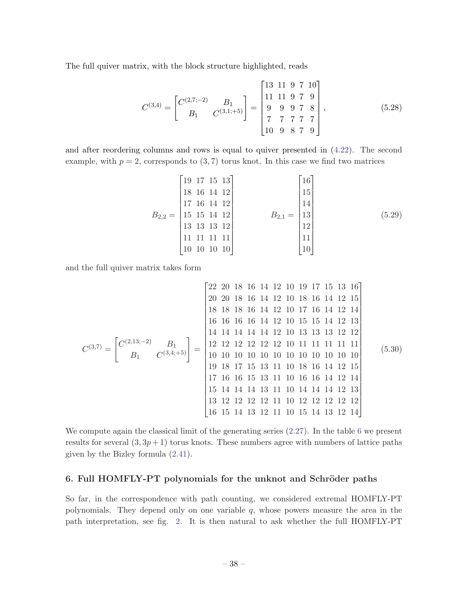<span id="page-38-0"></span>The full quiver matrix, with the block structure highlighted, reads

$$
C^{(3,4)} = \begin{bmatrix} C^{(2,7;-2)} & B_1 \\ B_1 & C^{(3,1;+5)} \end{bmatrix} = \begin{bmatrix} 13 & 11 & 9 & 7 & 10 \\ 11 & 11 & 9 & 7 & 9 \\ 9 & 9 & 9 & 7 & 8 \\ 7 & 7 & 7 & 7 & 7 \\ 10 & 9 & 8 & 7 & 9 \end{bmatrix},
$$
(5.28)

and after reordering columns and rows is equal to quiver presented in ([4.22](#page-24-0)). The second example, with  $p = 2$ , corresponds to  $(3, 7)$  torus knot. In this case we find two matrices

$$
B_{2,2} = \begin{bmatrix} 19 & 17 & 15 & 13 \\ 18 & 16 & 14 & 12 \\ 17 & 16 & 14 & 12 \\ 15 & 15 & 14 & 12 \\ 13 & 13 & 13 & 12 \\ 11 & 11 & 11 & 11 \\ 10 & 10 & 10 & 10 \end{bmatrix} \qquad B_{2,1} = \begin{bmatrix} 16 \\ 15 \\ 14 \\ 14 \\ 13 \\ 12 \\ 11 \\ 10 \end{bmatrix} \qquad (5.29)
$$

and the full quiver matrix takes form

C (3,7) = " C (2,13;−2) B<sup>1</sup> B<sup>1</sup> C (3,4;+5)# = 22 20 18 16 14 12 10 19 17 15 13 16 20 20 18 16 14 12 10 18 16 14 12 15 18 18 18 16 14 12 10 17 16 14 12 14 16 16 16 16 14 12 10 15 15 14 12 13 14 14 14 14 14 12 10 13 13 13 12 12 12 12 12 12 12 12 10 11 11 11 11 11 10 10 10 10 10 10 10 10 10 10 10 10 19 18 17 15 13 11 10 18 16 14 12 15 17 16 16 15 13 11 10 16 16 14 12 14 15 14 14 14 13 11 10 14 14 14 12 13 13 12 12 12 12 11 10 12 12 12 12 12 16 15 14 13 12 11 10 15 14 13 12 14 (5.30)

We compute again the classical limit of the generating series ([2.27](#page-9-0)). In the table [6](#page-39-0) we present results for several  $(3, 3p + 1)$  torus knots. These numbers agree with numbers of lattice paths given by the Bizley formula [\(2.41\)](#page-12-0).

# 6. Full HOMFLY-PT polynomials for the unknot and Schröder paths

So far, in the correspondence with path counting, we considered extremal HOMFLY-PT polynomials. They depend only on one variable  $q$ , whose powers measure the area in the path interpretation, see fig. [2.](#page-11-0) It is then natural to ask whether the full HOMFLY-PT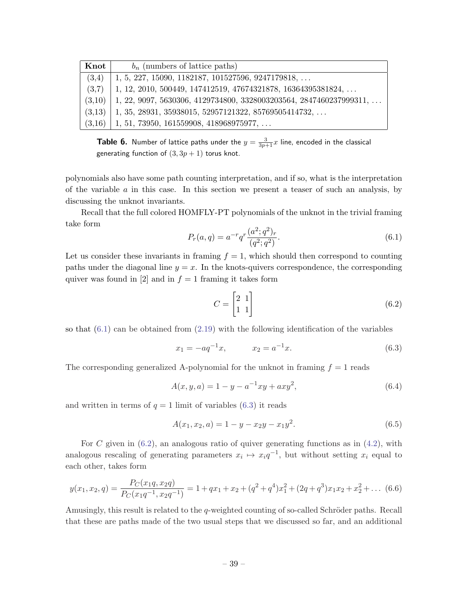<span id="page-39-0"></span>

| Knot   | $b_n$ (numbers of lattice paths)                                      |
|--------|-----------------------------------------------------------------------|
| (3,4)  | $1, 5, 227, 15090, 1182187, 101527596, 9247179818, \ldots$            |
| (3.7)  | 1, 12, 2010, 500449, 147412519, 47674321878, 16364395381824,          |
| (3,10) | $1, 22, 9097, 5630306, 4129734800, 3328003203564, 2847460237999311, $ |
| (3.13) | $1, 35, 28931, 35938015, 52957121322, 85769505414732, $               |
| (3,16) | $1, 51, 73950, 161559908, 418968975977, \ldots$                       |

**Table 6.** Number of lattice paths under the  $y = \frac{3}{3p+1}x$  line, encoded in the classical generating function of  $(3, 3p + 1)$  torus knot.

polynomials also have some path counting interpretation, and if so, what is the interpretation of the variable  $\alpha$  in this case. In this section we present a teaser of such an analysis, by discussing the unknot invariants.

Recall that the full colored HOMFLY-PT polynomials of the unknot in the trivial framing take form

$$
P_r(a,q) = a^{-r} q^r \frac{(a^2;q^2)_r}{(q^2;q^2)}.
$$
\n(6.1)

Let us consider these invariants in framing  $f = 1$ , which should then correspond to counting paths under the diagonal line  $y = x$ . In the knots-quivers correspondence, the corresponding quiver was found in [2] and in  $f = 1$  framing it takes form

$$
C = \begin{bmatrix} 2 & 1 \\ 1 & 1 \end{bmatrix} \tag{6.2}
$$

so that  $(6.1)$  can be obtained from  $(2.19)$  with the following identification of the variables

$$
x_1 = -aq^{-1}x, \t x_2 = a^{-1}x.
$$
\t(6.3)

The corresponding generalized A-polynomial for the unknot in framing  $f = 1$  reads

$$
A(x, y, a) = 1 - y - a^{-1}xy + axy^{2},
$$
\n(6.4)

and written in terms of  $q = 1$  limit of variables  $(6.3)$  it reads

$$
A(x_1, x_2, a) = 1 - y - x_2y - x_1y^2.
$$
\n(6.5)

For C given in  $(6.2)$ , an analogous ratio of quiver generating functions as in  $(4.2)$  $(4.2)$ , with analogous rescaling of generating parameters  $x_i \mapsto x_i q^{-1}$ , but without setting  $x_i$  equal to each other, takes form

$$
y(x_1, x_2, q) = \frac{P_C(x_1q, x_2q)}{P_C(x_1q^{-1}, x_2q^{-1})} = 1 + qx_1 + x_2 + (q^2 + q^4)x_1^2 + (2q + q^3)x_1x_2 + x_2^2 + \dots
$$
 (6.6)

Amusingly, this result is related to the  $q$ -weighted counting of so-called Schröder paths. Recall that these are paths made of the two usual steps that we discussed so far, and an additional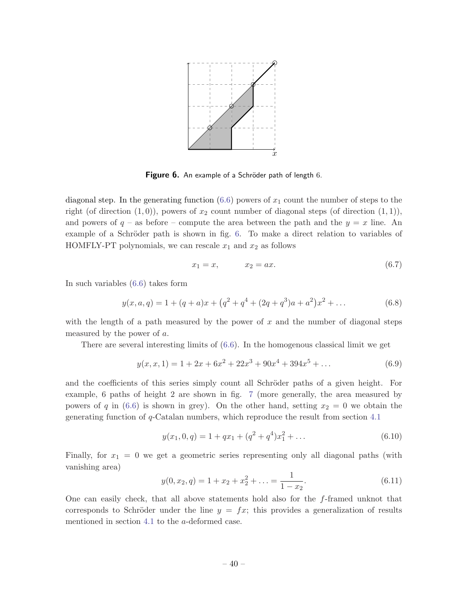

Figure 6. An example of a Schröder path of length 6.

diagonal step. In the generating function  $(6.6)$  $(6.6)$  powers of  $x_1$  count the number of steps to the right (of direction  $(1, 0)$ ), powers of  $x_2$  count number of diagonal steps (of direction  $(1, 1)$ ), and powers of  $q$  – as before – compute the area between the path and the  $y = x$  line. An example of a Schröder path is shown in fig. 6. To make a direct relation to variables of HOMFLY-PT polynomials, we can rescale  $x_1$  and  $x_2$  as follows

$$
x_1 = x, \qquad x_2 = ax. \tag{6.7}
$$

In such variables [\(6.6](#page-39-0)) takes form

$$
y(x, a, q) = 1 + (q + a)x + (q^{2} + q^{4} + (2q + q^{3})a + a^{2})x^{2} + \dots
$$
 (6.8)

with the length of a path measured by the power of x and the number of diagonal steps measured by the power of a.

There are several interesting limits of [\(6.6](#page-39-0)). In the homogenous classical limit we get

$$
y(x, x, 1) = 1 + 2x + 6x2 + 22x3 + 90x4 + 394x5 + ...
$$
 (6.9)

and the coefficients of this series simply count all Schröder paths of a given height. For example, 6 paths of height 2 are shown in fig. [7](#page-41-0) (more generally, the area measured by powers of q in [\(6.6](#page-39-0)) is shown in grey). On the other hand, setting  $x_2 = 0$  we obtain the generating function of  $q$ -Catalan numbers, which reproduce the result from section [4.1](#page-20-0)

$$
y(x_1, 0, q) = 1 + qx_1 + (q^2 + q^4)x_1^2 + \dots
$$
\n(6.10)

Finally, for  $x_1 = 0$  we get a geometric series representing only all diagonal paths (with vanishing area)

$$
y(0, x_2, q) = 1 + x_2 + x_2^2 + \dots = \frac{1}{1 - x_2}.\tag{6.11}
$$

One can easily check, that all above statements hold also for the f-framed unknot that corresponds to Schröder under the line  $y = fx$ ; this provides a generalization of results mentioned in section [4.1](#page-20-0) to the a-deformed case.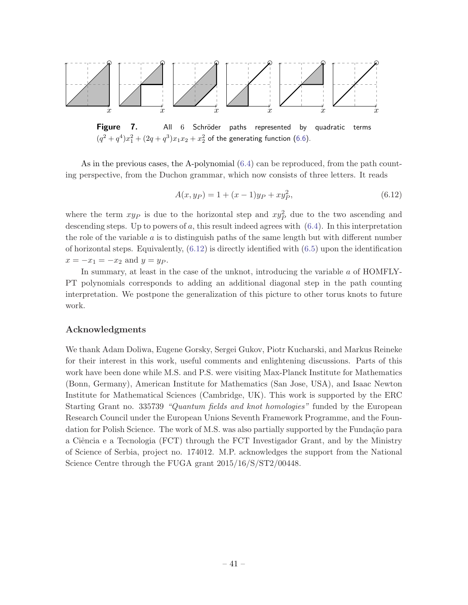<span id="page-41-0"></span>

Figure 7. All 6 Schröder paths represented by quadratic terms  $(q^2 + q^4)x_1^2 + (2q + q^3)x_1x_2 + x_2^2$  of the generating function ([6.6](#page-39-0)).

As in the previous cases, the A-polynomial  $(6.4)$  $(6.4)$  can be reproduced, from the path counting perspective, from the Duchon grammar, which now consists of three letters. It reads

$$
A(x, y_P) = 1 + (x - 1)y_P + xy_P^2,
$$
\n(6.12)

where the term  $xy_P$  is due to the horizontal step and  $xy_P^2$  due to the two ascending and descending steps. Up to powers of  $a$ , this result indeed agrees with  $(6.4)$  $(6.4)$ . In this interpretation the role of the variable  $\alpha$  is to distinguish paths of the same length but with different number of horizontal steps. Equivalently,  $(6.12)$  is directly identified with  $(6.5)$  $(6.5)$  upon the identification  $x = -x_1 = -x_2$  and  $y = yp$ .

In summary, at least in the case of the unknot, introducing the variable a of HOMFLY-PT polynomials corresponds to adding an additional diagonal step in the path counting interpretation. We postpone the generalization of this picture to other torus knots to future work.

# Acknowledgments

We thank Adam Doliwa, Eugene Gorsky, Sergei Gukov, Piotr Kucharski, and Markus Reineke for their interest in this work, useful comments and enlightening discussions. Parts of this work have been done while M.S. and P.S. were visiting Max-Planck Institute for Mathematics (Bonn, Germany), American Institute for Mathematics (San Jose, USA), and Isaac Newton Institute for Mathematical Sciences (Cambridge, UK). This work is supported by the ERC Starting Grant no. 335739 "Quantum fields and knot homologies" funded by the European Research Council under the European Unions Seventh Framework Programme, and the Foundation for Polish Science. The work of M.S. was also partially supported by the Fundação para a Ciência e a Tecnologia (FCT) through the FCT Investigador Grant, and by the Ministry of Science of Serbia, project no. 174012. M.P. acknowledges the support from the National Science Centre through the FUGA grant 2015/16/S/ST2/00448.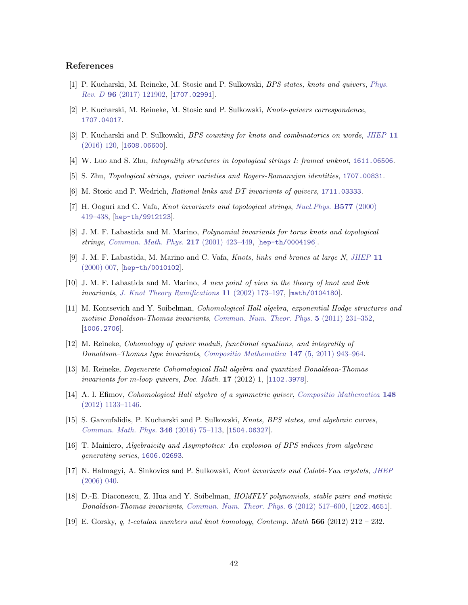#### References

- [1] P. Kucharski, M. Reineke, M. Stosic and P. Sulkowski, BPS states, knots and quivers, [Phys.](http://dx.doi.org/10.1103/PhysRevD.96.121902) Rev. D 96 [\(2017\) 121902,](http://dx.doi.org/10.1103/PhysRevD.96.121902) [[1707.02991](http://arxiv.org/abs/1707.02991)].
- [2] P. Kucharski, M. Reineke, M. Stosic and P. Sulkowski, Knots-quivers correspondence, [1707.04017](http://arxiv.org/abs/1707.04017).
- [3] P. Kucharski and P. Sulkowski, BPS counting for knots and combinatorics on words, [JHEP](http://dx.doi.org/10.1007/JHEP11(2016)120) 11  $(2016)$  120, [[1608.06600](http://arxiv.org/abs/1608.06600)].
- [4] W. Luo and S. Zhu, Integrality structures in topological strings I: framed unknot, [1611.06506](http://arxiv.org/abs/1611.06506).
- [5] S. Zhu, Topological strings, quiver varieties and Rogers-Ramanujan identities, [1707.00831](http://arxiv.org/abs/1707.00831).
- [6] M. Stosic and P. Wedrich, Rational links and DT invariants of quivers, [1711.03333](http://arxiv.org/abs/1711.03333).
- [7] H. Ooguri and C. Vafa, Knot invariants and topological strings, [Nucl.Phys.](http://dx.doi.org/10.1016/S0550-3213(00)00118-8) B577 (2000) [419–438,](http://dx.doi.org/10.1016/S0550-3213(00)00118-8) [[hep-th/9912123](http://arxiv.org/abs/hep-th/9912123)].
- [8] J. M. F. Labastida and M. Marino, Polynomial invariants for torus knots and topological strings, [Commun. Math. Phys.](http://dx.doi.org/10.1007/s002200100374) 217 (2001) 423–449, [[hep-th/0004196](http://arxiv.org/abs/hep-th/0004196)].
- [9] J. M. F. Labastida, M. Marino and C. Vafa, Knots, links and branes at large N, [JHEP](http://dx.doi.org/10.1088/1126-6708/2000/11/007) 11 [\(2000\) 007,](http://dx.doi.org/10.1088/1126-6708/2000/11/007) [[hep-th/0010102](http://arxiv.org/abs/hep-th/0010102)].
- [10] J. M. F. Labastida and M. Marino, A new point of view in the theory of knot and link invariants, [J. Knot Theory Ramifications](http://dx.doi.org/10.1142/S0218216502001561) 11 (2002) 173–197, [[math/0104180](http://arxiv.org/abs/math/0104180)].
- [11] M. Kontsevich and Y. Soibelman, Cohomological Hall algebra, exponential Hodge structures and motivic Donaldson-Thomas invariants, [Commun. Num. Theor. Phys.](http://dx.doi.org/10.4310/CNTP.2011.v5.n2.a1) 5 (2011) 231–352, [[1006.2706](http://arxiv.org/abs/1006.2706)].
- [12] M. Reineke, Cohomology of quiver moduli, functional equations, and integrality of Donaldson–Thomas type invariants, [Compositio Mathematica](http://dx.doi.org/10.1112/S0010437X1000521X) 147 (5, 2011) 943–964.
- [13] M. Reineke, Degenerate Cohomological Hall algebra and quantized Donaldson-Thomas invariants for m-loop quivers, Doc. Math. 17 (2012) 1, [[1102.3978](http://arxiv.org/abs/1102.3978)].
- [14] A. I. Efimov, Cohomological Hall algebra of a symmetric quiver, [Compositio Mathematica](http://dx.doi.org/10.1112/S0010437X12000152) 148 [\(2012\) 1133–1146](http://dx.doi.org/10.1112/S0010437X12000152).
- [15] S. Garoufalidis, P. Kucharski and P. Sulkowski, Knots, BPS states, and algebraic curves, [Commun. Math. Phys.](http://dx.doi.org/10.1007/s00220-016-2682-z) 346 (2016) 75–113, [[1504.06327](http://arxiv.org/abs/1504.06327)].
- [16] T. Mainiero, Algebraicity and Asymptotics: An explosion of BPS indices from algebraic generating series, [1606.02693](http://arxiv.org/abs/1606.02693).
- [17] N. Halmagyi, A. Sinkovics and P. Sulkowski, Knot invariants and Calabi-Yau crystals, [JHEP](http://dx.doi.org/10.1088/1126-6708/2006/01/040) [\(2006\) 040.](http://dx.doi.org/10.1088/1126-6708/2006/01/040)
- [18] D.-E. Diaconescu, Z. Hua and Y. Soibelman, HOMFLY polynomials, stable pairs and motivic Donaldson-Thomas invariants, [Commun. Num. Theor. Phys.](http://dx.doi.org/10.4310/CNTP.2012.v6.n3.a1) 6 (2012) 517–600, [[1202.4651](http://arxiv.org/abs/1202.4651)].
- [19] E. Gorsky, q, t-catalan numbers and knot homology, Contemp. Math  $566$  (2012) 212 232.